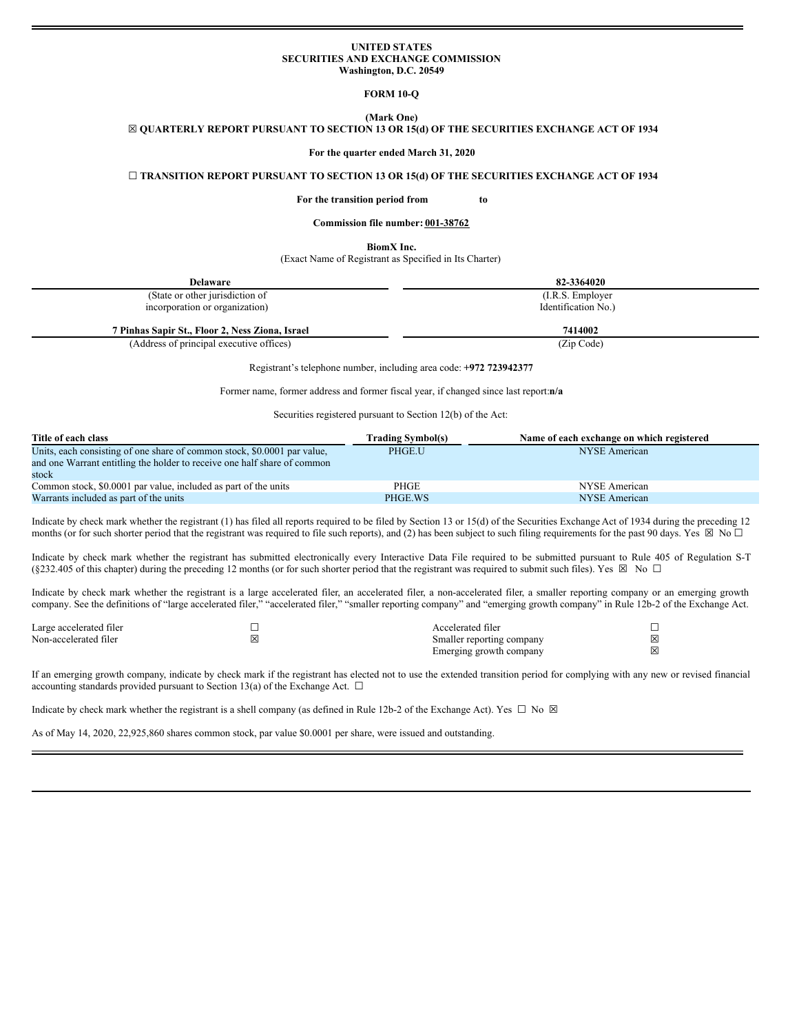### **UNITED STATES SECURITIES AND EXCHANGE COMMISSION Washington, D.C. 20549**

**FORM 10-Q**

**(Mark One)**

☒ **QUARTERLY REPORT PURSUANT TO SECTION 13 OR 15(d) OF THE SECURITIES EXCHANGE ACT OF 1934**

**For the quarter ended March 31, 2020**

## ☐ **TRANSITION REPORT PURSUANT TO SECTION 13 OR 15(d) OF THE SECURITIES EXCHANGE ACT OF 1934**

## **For the transition period from to**

## **Commission file number: 001-38762**

**BiomX Inc.**

(Exact Name of Registrant as Specified in Its Charter)

| <b>Delaware</b>                                 | 82-3364020          |
|-------------------------------------------------|---------------------|
| (State or other jurisdiction of                 | (I.R.S. Employer)   |
| incorporation or organization)                  | Identification No.) |
| 7 Pinhas Sapir St., Floor 2, Ness Ziona, Israel | 7414002             |
| (Address of principal executive offices)        | (Zip Code)          |

Registrant's telephone number, including area code: **+972 723942377**

Former name, former address and former fiscal year, if changed since last report:**n/a**

Securities registered pursuant to Section 12(b) of the Act:

| Title of each class                                                      | <b>Trading Symbol(s)</b> | Name of each exchange on which registered |
|--------------------------------------------------------------------------|--------------------------|-------------------------------------------|
| Units, each consisting of one share of common stock, \$0,0001 par value, | PHGE.U                   | NYSE American                             |
| and one Warrant entitling the holder to receive one half share of common |                          |                                           |
| stock                                                                    |                          |                                           |
| Common stock, \$0.0001 par value, included as part of the units          | PHGE                     | NYSE American                             |
| Warrants included as part of the units                                   | PHGE.WS                  | NYSE American                             |

Indicate by check mark whether the registrant (1) has filed all reports required to be filed by Section 13 or 15(d) of the Securities Exchange Act of 1934 during the preceding 12 months (or for such shorter period that the registrant was required to file such reports), and (2) has been subject to such filing requirements for the past 90 days. Yes  $\boxtimes$  No  $\Box$ 

Indicate by check mark whether the registrant has submitted electronically every Interactive Data File required to be submitted pursuant to Rule 405 of Regulation S-T (§232.405 of this chapter) during the preceding 12 months (or for such shorter period that the registrant was required to submit such files). Yes  $\boxtimes$  No  $\Box$ 

Indicate by check mark whether the registrant is a large accelerated filer, an accelerated filer, a non-accelerated filer, a smaller reporting company or an emerging growth company. See the definitions of "large accelerated filer," "accelerated filer," "smaller reporting company" and "emerging growth company" in Rule 12b-2 of the Exchange Act.

| Large accelerated filer |     | Accelerated filer         |   |
|-------------------------|-----|---------------------------|---|
| Non-accelerated filer   | Ι×Ι | Smaller reporting company | ⊠ |
|                         |     | Emerging growth company   | ⊠ |

If an emerging growth company, indicate by check mark if the registrant has elected not to use the extended transition period for complying with any new or revised financial accounting standards provided pursuant to Section 13(a) of the Exchange Act.  $\Box$ 

Indicate by check mark whether the registrant is a shell company (as defined in Rule 12b-2 of the Exchange Act). Yes  $\Box$  No  $\boxtimes$ 

As of May 14, 2020, 22,925,860 shares common stock, par value \$0.0001 per share, were issued and outstanding.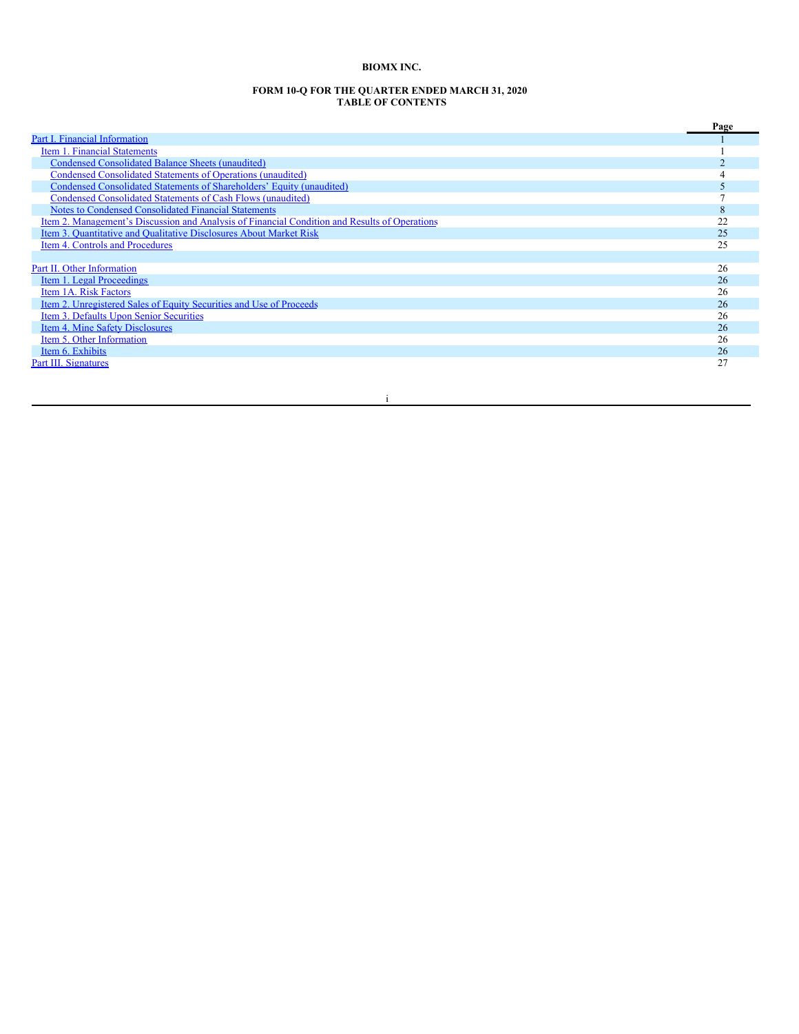# **BIOMX INC.**

#### **FORM 10-Q FOR THE QUARTER ENDED MARCH 31, 2020 TABLE OF CONTENTS**

|                                                                                               | Page |
|-----------------------------------------------------------------------------------------------|------|
| Part I. Financial Information                                                                 |      |
| Item 1. Financial Statements                                                                  |      |
| <b>Condensed Consolidated Balance Sheets (unaudited)</b>                                      |      |
| Condensed Consolidated Statements of Operations (unaudited)                                   |      |
| Condensed Consolidated Statements of Shareholders' Equity (unaudited)                         |      |
| Condensed Consolidated Statements of Cash Flows (unaudited)                                   |      |
| Notes to Condensed Consolidated Financial Statements                                          | 8    |
| Item 2. Management's Discussion and Analysis of Financial Condition and Results of Operations |      |
| Item 3. Quantitative and Qualitative Disclosures About Market Risk                            | 25   |
| Item 4. Controls and Procedures                                                               | 25   |
|                                                                                               |      |
| Part II. Other Information                                                                    | 26   |
| Item 1. Legal Proceedings                                                                     | 26   |
| Item 1A. Risk Factors                                                                         | 26   |
| Item 2. Unregistered Sales of Equity Securities and Use of Proceeds                           | 26   |
| Item 3. Defaults Upon Senior Securities                                                       | 26   |
| Item 4. Mine Safety Disclosures                                                               | 26   |
| Item 5. Other Information                                                                     | 26   |
| Item 6. Exhibits                                                                              | 26   |
| Part III. Signatures                                                                          | 27   |

i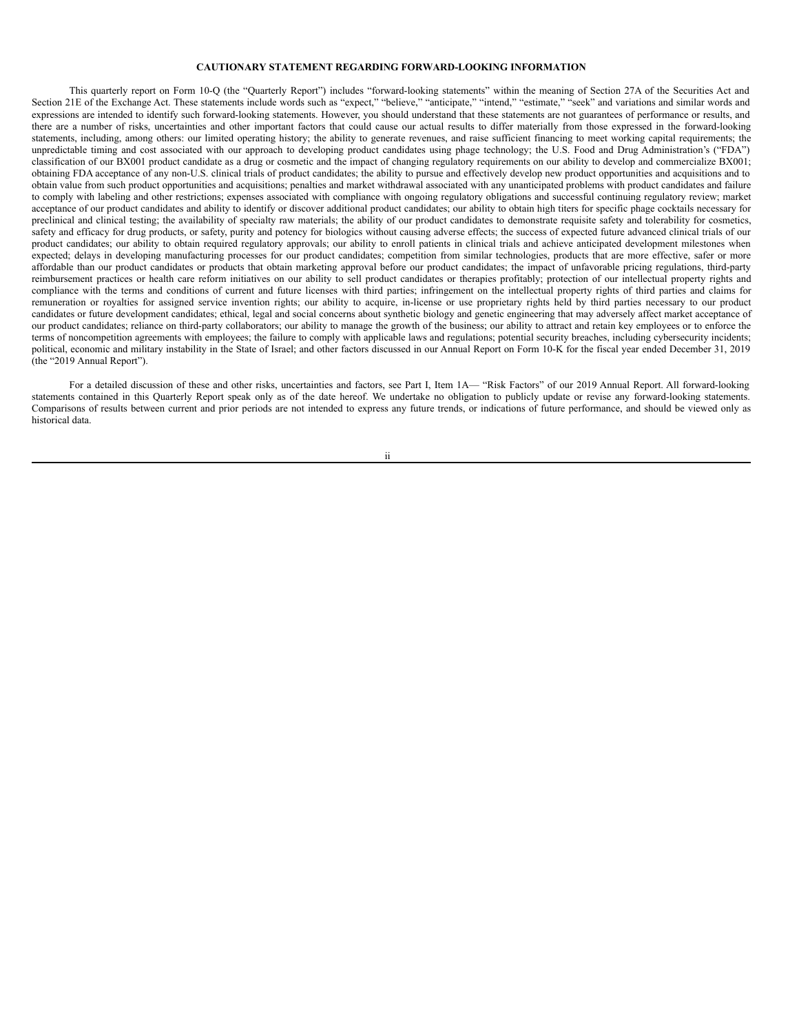## **CAUTIONARY STATEMENT REGARDING FORWARD-LOOKING INFORMATION**

This quarterly report on Form 10-Q (the "Quarterly Report") includes "forward-looking statements" within the meaning of Section 27A of the Securities Act and Section 21E of the Exchange Act. These statements include words such as "expect," "believe," "anticipate," "intend," "estimate," "seek" and variations and similar words and expressions are intended to identify such forward-looking statements. However, you should understand that these statements are not guarantees of performance or results, and there are a number of risks, uncertainties and other important factors that could cause our actual results to differ materially from those expressed in the forward-looking statements, including, among others: our limited operating history; the ability to generate revenues, and raise sufficient financing to meet working capital requirements; the unpredictable timing and cost associated with our approach to developing product candidates using phage technology; the U.S. Food and Drug Administration's ("FDA") classification of our BX001 product candidate as a drug or cosmetic and the impact of changing regulatory requirements on our ability to develop and commercialize BX001; obtaining FDA acceptance of any non-U.S. clinical trials of product candidates; the ability to pursue and effectively develop new product opportunities and acquisitions and to obtain value from such product opportunities and acquisitions; penalties and market withdrawal associated with any unanticipated problems with product candidates and failure to comply with labeling and other restrictions; expenses associated with compliance with ongoing regulatory obligations and successful continuing regulatory review; market acceptance of our product candidates and ability to identify or discover additional product candidates; our ability to obtain high titers for specific phage cocktails necessary for preclinical and clinical testing; the availability of specialty raw materials; the ability of our product candidates to demonstrate requisite safety and tolerability for cosmetics, safety and efficacy for drug products, or safety, purity and potency for biologics without causing adverse effects; the success of expected future advanced clinical trials of our product candidates; our ability to obtain required regulatory approvals; our ability to enroll patients in clinical trials and achieve anticipated development milestones when expected; delays in developing manufacturing processes for our product candidates; competition from similar technologies, products that are more effective, safer or more affordable than our product candidates or products that obtain marketing approval before our product candidates; the impact of unfavorable pricing regulations, third-party reimbursement practices or health care reform initiatives on our ability to sell product candidates or therapies profitably; protection of our intellectual property rights and compliance with the terms and conditions of current and future licenses with third parties; infringement on the intellectual property rights of third parties and claims for remuneration or royalties for assigned service invention rights; our ability to acquire, in-license or use proprietary rights held by third parties necessary to our product candidates or future development candidates; ethical, legal and social concerns about synthetic biology and genetic engineering that may adversely affect market acceptance of our product candidates; reliance on third-party collaborators; our ability to manage the growth of the business; our ability to attract and retain key employees or to enforce the terms of noncompetition agreements with employees; the failure to comply with applicable laws and regulations; potential security breaches, including cybersecurity incidents; political, economic and military instability in the State of Israel; and other factors discussed in our Annual Report on Form 10-K for the fiscal year ended December 31, 2019 (the "2019 Annual Report").

For a detailed discussion of these and other risks, uncertainties and factors, see Part I, Item 1A— "Risk Factors" of our 2019 Annual Report. All forward-looking statements contained in this Quarterly Report speak only as of the date hereof. We undertake no obligation to publicly update or revise any forward-looking statements. Comparisons of results between current and prior periods are not intended to express any future trends, or indications of future performance, and should be viewed only as historical data.

## ii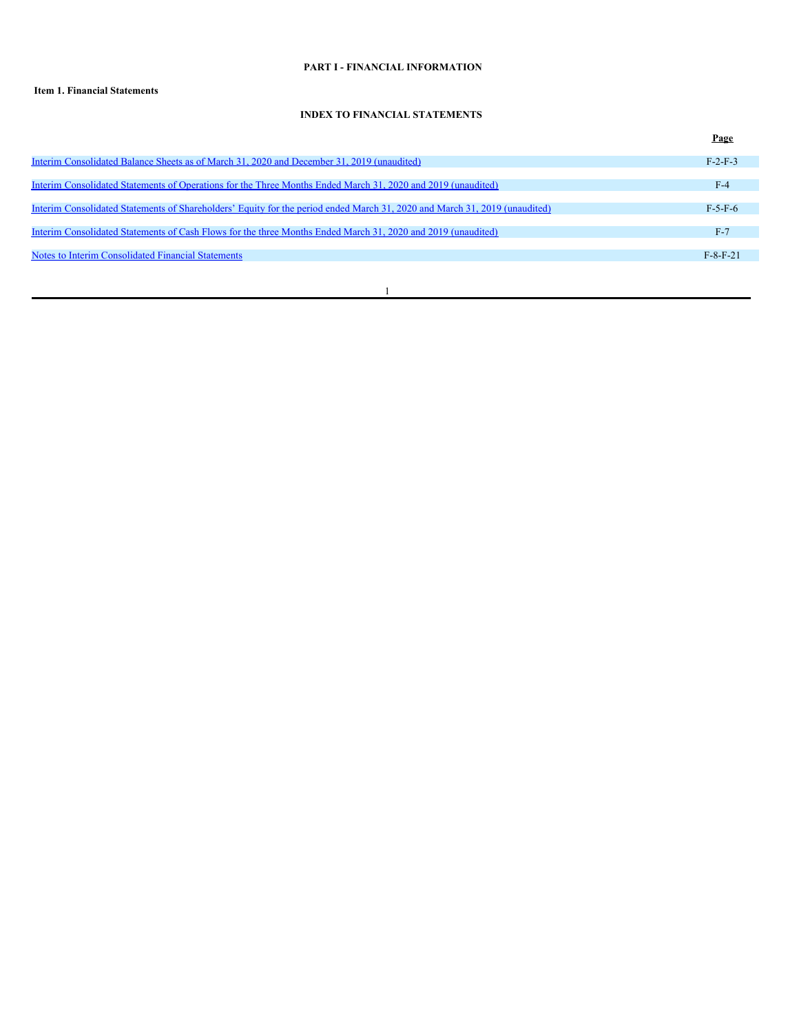# <span id="page-3-0"></span>**PART I - FINANCIAL INFORMATION**

# <span id="page-3-1"></span>**Item 1. Financial Statements**

# **INDEX TO FINANCIAL STATEMENTS**

|                                                                                                                            | Page             |
|----------------------------------------------------------------------------------------------------------------------------|------------------|
| Interim Consolidated Balance Sheets as of March 31, 2020 and December 31, 2019 (unaudited)                                 | $F-2-F-3$        |
| Interim Consolidated Statements of Operations for the Three Months Ended March 31, 2020 and 2019 (unaudited)               | $F-4$            |
| Interim Consolidated Statements of Shareholders' Equity for the period ended March 31, 2020 and March 31, 2019 (unaudited) | $F-5-F-6$        |
| Interim Consolidated Statements of Cash Flows for the three Months Ended March 31, 2020 and 2019 (unaudited)               | $F-7$            |
| Notes to Interim Consolidated Financial Statements                                                                         | $F - 8 - F - 21$ |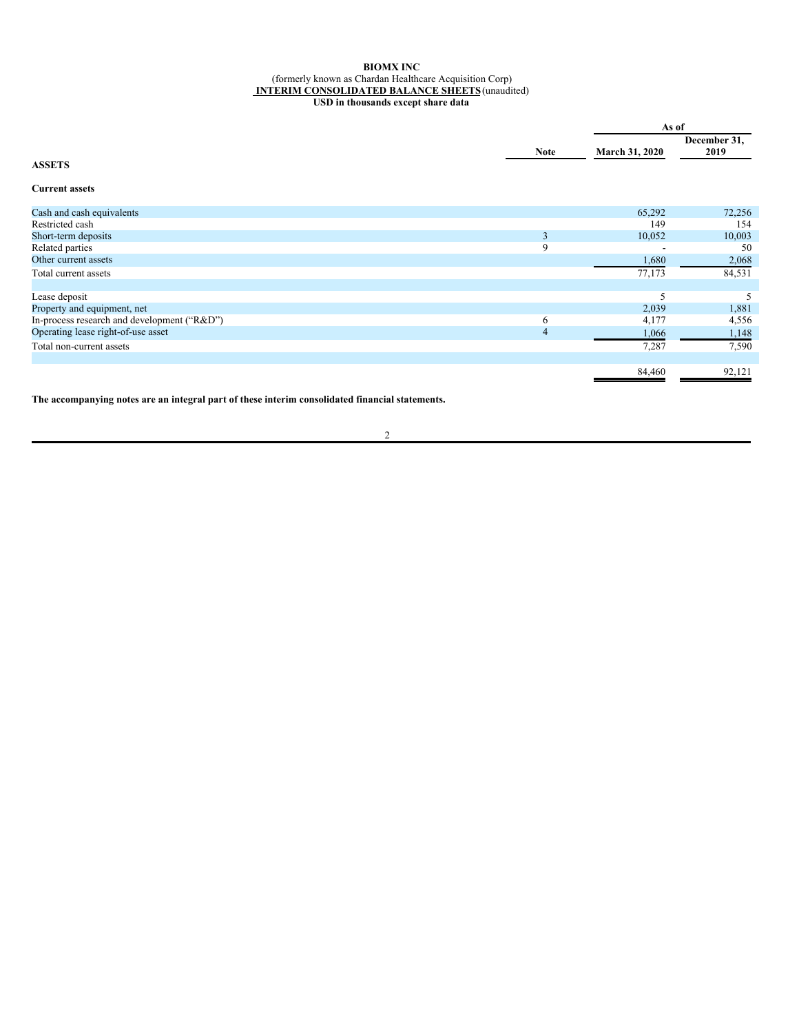## <span id="page-4-0"></span>**BIOMX INC** (formerly known as Chardan Healthcare Acquisition Corp) **INTERIM CONSOLIDATED BALANCE SHEETS**(unaudited) **USD in thousands except share data**

|                                                                                                                                   |             | As of          |                      |  |
|-----------------------------------------------------------------------------------------------------------------------------------|-------------|----------------|----------------------|--|
| <b>ASSETS</b>                                                                                                                     | <b>Note</b> | March 31, 2020 | December 31,<br>2019 |  |
| <b>Current assets</b>                                                                                                             |             |                |                      |  |
| Cash and cash equivalents                                                                                                         |             | 65,292         | 72,256               |  |
| Restricted cash                                                                                                                   |             | 149            | 154                  |  |
| Short-term deposits                                                                                                               | 3           | 10,052         | 10,003               |  |
| Related parties                                                                                                                   | 9           |                | 50                   |  |
| Other current assets                                                                                                              |             | 1,680          | 2,068                |  |
| Total current assets                                                                                                              |             | 77,173         | 84,531               |  |
|                                                                                                                                   |             |                |                      |  |
|                                                                                                                                   |             |                | 5                    |  |
|                                                                                                                                   |             | 2,039          | 1,881                |  |
|                                                                                                                                   | 6           | 4,177          | 4,556                |  |
|                                                                                                                                   | 4           | 1,066          | 1,148                |  |
| Total non-current assets                                                                                                          |             | 7,287          | 7,590                |  |
|                                                                                                                                   |             |                | 92,121               |  |
| Lease deposit<br>Property and equipment, net<br>In-process research and development ("R&D")<br>Operating lease right-of-use asset |             | 5<br>84,460    |                      |  |

**The accompanying notes are an integral part of these interim consolidated financial statements.**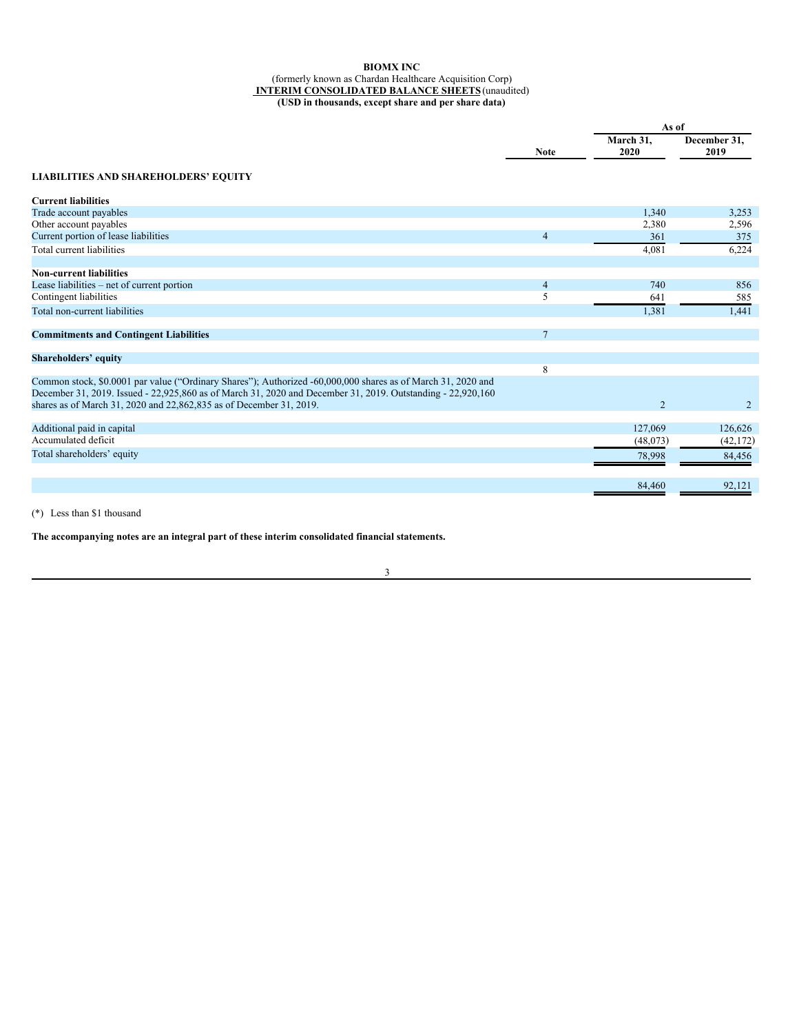# **BIOMX INC**

# (formerly known as Chardan Healthcare Acquisition Corp)

**INTERIM CONSOLIDATED BALANCE SHEETS** (unaudited) **(USD in thousands, except share and per share data)**

|                                                                                                                                                                                                                                                                                                    |                | As of             |                      |  |
|----------------------------------------------------------------------------------------------------------------------------------------------------------------------------------------------------------------------------------------------------------------------------------------------------|----------------|-------------------|----------------------|--|
|                                                                                                                                                                                                                                                                                                    | <b>Note</b>    | March 31,<br>2020 | December 31,<br>2019 |  |
| <b>LIABILITIES AND SHAREHOLDERS' EQUITY</b>                                                                                                                                                                                                                                                        |                |                   |                      |  |
| <b>Current liabilities</b>                                                                                                                                                                                                                                                                         |                |                   |                      |  |
| Trade account payables                                                                                                                                                                                                                                                                             |                | 1,340             | 3,253                |  |
| Other account payables                                                                                                                                                                                                                                                                             |                | 2,380             | 2,596                |  |
| Current portion of lease liabilities                                                                                                                                                                                                                                                               | $\overline{4}$ | 361               | 375                  |  |
| Total current liabilities                                                                                                                                                                                                                                                                          |                | 4,081             | 6,224                |  |
| <b>Non-current liabilities</b>                                                                                                                                                                                                                                                                     |                |                   |                      |  |
| Lease liabilities – net of current portion                                                                                                                                                                                                                                                         | $\overline{4}$ | 740               | 856                  |  |
| Contingent liabilities                                                                                                                                                                                                                                                                             | 5              | 641               | 585                  |  |
| Total non-current liabilities                                                                                                                                                                                                                                                                      |                | 1,381             | 1,441                |  |
| <b>Commitments and Contingent Liabilities</b>                                                                                                                                                                                                                                                      |                |                   |                      |  |
| <b>Shareholders' equity</b>                                                                                                                                                                                                                                                                        |                |                   |                      |  |
|                                                                                                                                                                                                                                                                                                    | 8              |                   |                      |  |
| Common stock, \$0.0001 par value ("Ordinary Shares"); Authorized -60,000,000 shares as of March 31, 2020 and<br>December 31, 2019. Issued - 22,925,860 as of March 31, 2020 and December 31, 2019. Outstanding - 22,920,160<br>shares as of March 31, 2020 and 22,862,835 as of December 31, 2019. |                | $\overline{2}$    | 2                    |  |
|                                                                                                                                                                                                                                                                                                    |                |                   |                      |  |
| Additional paid in capital                                                                                                                                                                                                                                                                         |                | 127,069           | 126,626              |  |
| Accumulated deficit                                                                                                                                                                                                                                                                                |                | (48,073)          | (42, 172)            |  |
| Total shareholders' equity                                                                                                                                                                                                                                                                         |                | 78,998            | 84,456               |  |
|                                                                                                                                                                                                                                                                                                    |                |                   |                      |  |
|                                                                                                                                                                                                                                                                                                    |                | 84,460            | 92.121               |  |

(\*) Less than \$1 thousand

**The accompanying notes are an integral part of these interim consolidated financial statements.**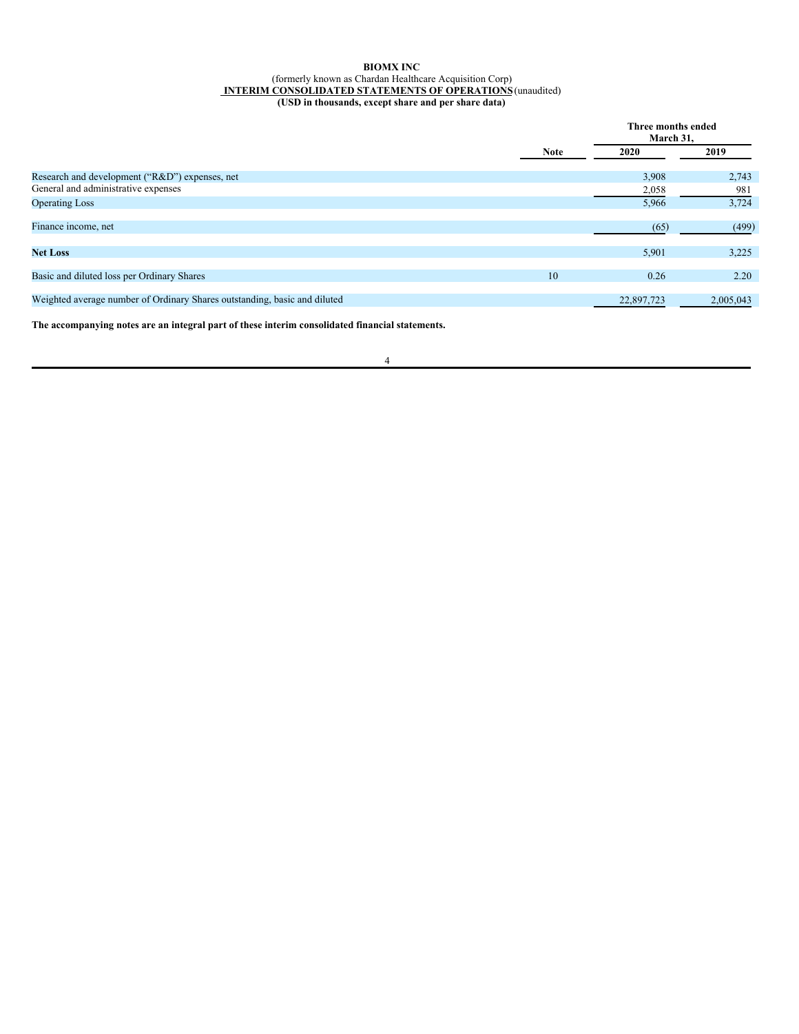### <span id="page-6-0"></span>**BIOMX INC** (formerly known as Chardan Healthcare Acquisition Corp) **INTERIM CONSOLIDATED STATEMENTS OF OPERATIONS**(unaudited) **(USD in thousands, except share and per share data)**

|                                                                           | <b>Note</b> | Three months ended<br>March 31. |           |  |
|---------------------------------------------------------------------------|-------------|---------------------------------|-----------|--|
|                                                                           |             | 2020                            | 2019      |  |
| Research and development ("R&D") expenses, net                            |             | 3,908                           | 2,743     |  |
| General and administrative expenses                                       |             | 2,058                           | 981       |  |
| <b>Operating Loss</b>                                                     |             | 5,966                           | 3,724     |  |
| Finance income, net                                                       |             | (65)                            | (499)     |  |
| <b>Net Loss</b>                                                           |             | 5,901                           | 3,225     |  |
| Basic and diluted loss per Ordinary Shares                                | 10          | 0.26                            | 2.20      |  |
| Weighted average number of Ordinary Shares outstanding, basic and diluted |             | 22,897,723                      | 2,005,043 |  |

**The accompanying notes are an integral part of these interim consolidated financial statements.**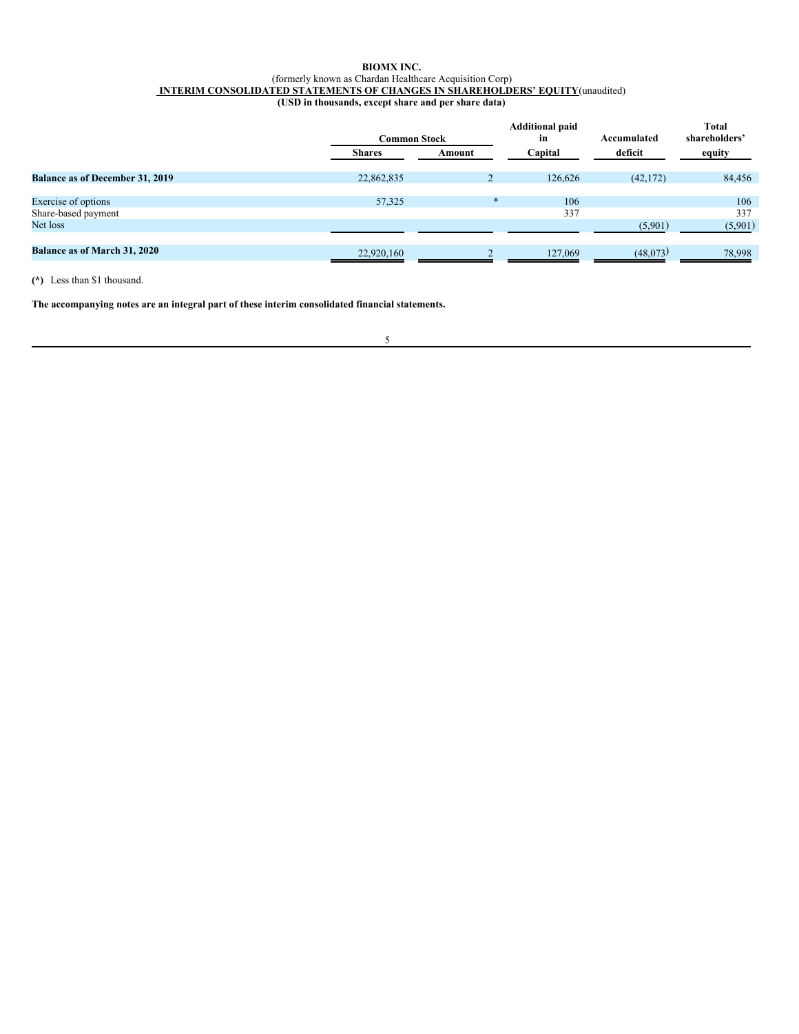## <span id="page-7-0"></span>**BIOMX INC.** (formerly known as Chardan Healthcare Acquisition Corp) **INTERIM CONSOLIDATED STATEMENTS OF CHANGES IN SHAREHOLDERS' EQUITY**(unaudited) **(USD in thousands, except share and per share data)**

|                                            | <b>Common Stock</b> |                | <b>Additional paid</b><br>in | Accumulated | <b>Total</b><br>shareholders' |  |
|--------------------------------------------|---------------------|----------------|------------------------------|-------------|-------------------------------|--|
|                                            | <b>Shares</b>       | Amount         | Capital                      | deficit     | equity                        |  |
| Balance as of December 31, 2019            | 22,862,835          | $\overline{2}$ | 126,626                      | (42, 172)   | 84,456                        |  |
| Exercise of options<br>Share-based payment | 57,325              | $*$            | 106<br>337                   |             | 106<br>337                    |  |
| Net loss                                   |                     |                |                              | (5,901)     | (5,901)                       |  |
| Balance as of March 31, 2020               | 22,920,160          |                | 127,069                      | (48,073)    | 78,998                        |  |

**(\*)** Less than \$1 thousand.

**The accompanying notes are an integral part of these interim consolidated financial statements.**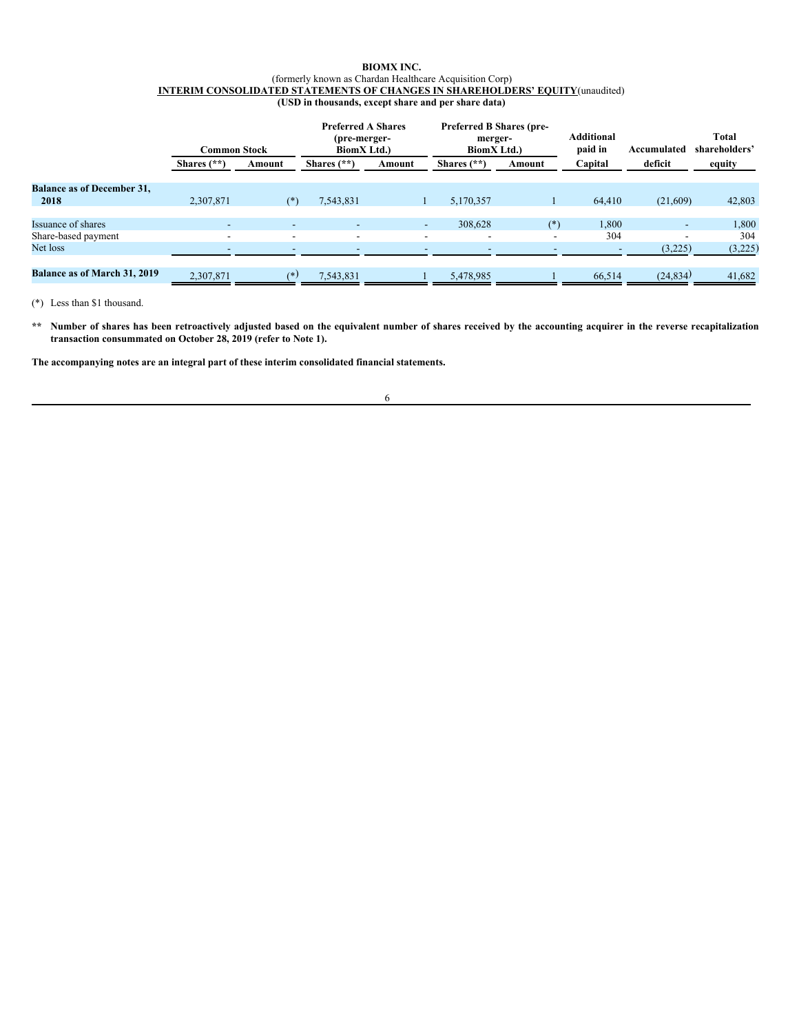## **BIOMX INC.** (formerly known as Chardan Healthcare Acquisition Corp) **INTERIM CONSOLIDATED STATEMENTS OF CHANGES IN SHAREHOLDERS' EQUITY**(unaudited) **(USD in thousands, except share and per share data)**

|                                   |               | <b>Preferred A Shares</b><br><b>Preferred B Shares (pre-</b><br>(pre-merger-<br>merger-<br><b>BiomX</b> Ltd.)<br><b>BiomX</b> Ltd.)<br><b>Common Stock</b> |                          |        | <b>Additional</b><br>paid in |        | Total<br>shareholders'   |           |         |
|-----------------------------------|---------------|------------------------------------------------------------------------------------------------------------------------------------------------------------|--------------------------|--------|------------------------------|--------|--------------------------|-----------|---------|
|                                   | Shares $(**)$ | Amount                                                                                                                                                     | Shares $(**)$            | Amount | Shares $(**)$                | Amount | Capital                  | deficit   | equity  |
| <b>Balance as of December 31,</b> |               |                                                                                                                                                            |                          |        |                              |        |                          |           |         |
| 2018                              | 2,307,871     | $(*)$                                                                                                                                                      | 7,543,831                |        | 5,170,357                    |        | 64,410                   | (21,609)  | 42,803  |
| Issuance of shares                |               |                                                                                                                                                            | ۰                        | $\sim$ | 308,628                      | $(*)$  | 1.800                    | ۰         | 1,800   |
| Share-based payment               |               |                                                                                                                                                            | $\overline{\phantom{a}}$ |        |                              |        | 304                      |           | 304     |
| Net loss                          |               |                                                                                                                                                            |                          |        |                              |        | $\overline{\phantom{a}}$ | (3,225)   | (3,225) |
| Balance as of March 31, 2019      | 2,307,871     | $(*)$                                                                                                                                                      | 7.543.831                |        | 5.478.985                    |        | 66.514                   | (24, 834) | 41,682  |

(\*) Less than \$1 thousand.

\*\* Number of shares has been retroactively adjusted based on the equivalent number of shares received by the accounting acquirer in the reverse recapitalization **transaction consummated on October 28, 2019 (refer to Note 1).**

**The accompanying notes are an integral part of these interim consolidated financial statements.**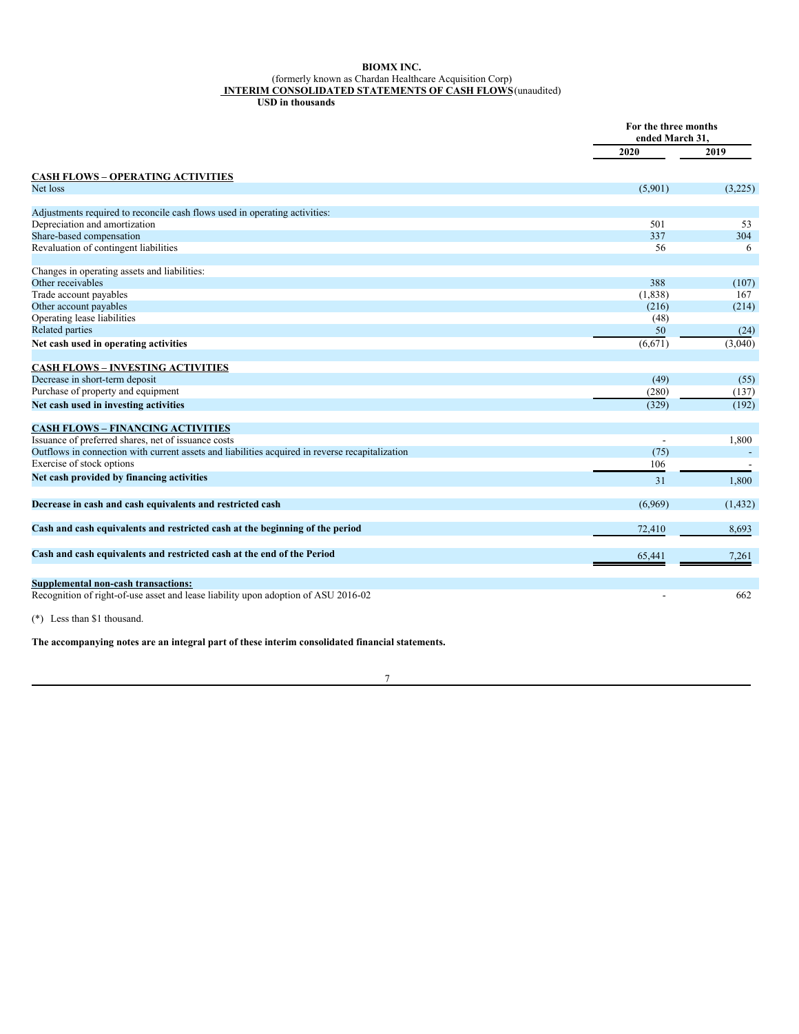## <span id="page-9-0"></span>**BIOMX INC.** (formerly known as Chardan Healthcare Acquisition Corp) **INTERIM CONSOLIDATED STATEMENTS OF CASH FLOWS**(unaudited) **USD in thousands**

|                                                                                                 | For the three months<br>ended March 31 |          |
|-------------------------------------------------------------------------------------------------|----------------------------------------|----------|
|                                                                                                 | 2020                                   | 2019     |
| <b>CASH FLOWS - OPERATING ACTIVITIES</b>                                                        |                                        |          |
| Net loss                                                                                        | (5,901)                                | (3,225)  |
| Adjustments required to reconcile cash flows used in operating activities:                      |                                        |          |
| Depreciation and amortization                                                                   | 501                                    | 53       |
| Share-based compensation                                                                        | 337                                    | 304      |
| Revaluation of contingent liabilities                                                           | 56                                     | 6        |
| Changes in operating assets and liabilities:                                                    |                                        |          |
| Other receivables                                                                               | 388                                    | (107)    |
| Trade account payables                                                                          | (1,838)                                | 167      |
| Other account payables                                                                          | (216)                                  | (214)    |
| Operating lease liabilities                                                                     | (48)                                   |          |
| Related parties                                                                                 | 50                                     | (24)     |
| Net cash used in operating activities                                                           | (6, 671)                               | (3,040)  |
| <b>CASH FLOWS - INVESTING ACTIVITIES</b>                                                        |                                        |          |
| Decrease in short-term deposit                                                                  | (49)                                   | (55)     |
| Purchase of property and equipment                                                              | (280)                                  | (137)    |
| Net cash used in investing activities                                                           | (329)                                  | (192)    |
| <b>CASH FLOWS - FINANCING ACTIVITIES</b>                                                        |                                        |          |
| Issuance of preferred shares, net of issuance costs                                             |                                        | 1,800    |
| Outflows in connection with current assets and liabilities acquired in reverse recapitalization | (75)                                   | $\sim$   |
| Exercise of stock options                                                                       | 106                                    |          |
| Net cash provided by financing activities                                                       | 31                                     | 1,800    |
|                                                                                                 |                                        |          |
| Decrease in cash and cash equivalents and restricted cash                                       | (6,969)                                | (1, 432) |
| Cash and cash equivalents and restricted cash at the beginning of the period                    | 72,410                                 | 8,693    |
| Cash and cash equivalents and restricted cash at the end of the Period                          | 65,441                                 | 7,261    |
| <b>Supplemental non-cash transactions:</b>                                                      |                                        |          |
| Recognition of right-of-use asset and lease liability upon adoption of ASU 2016-02              |                                        | 662      |

(\*) Less than \$1 thousand.

**The accompanying notes are an integral part of these interim consolidated financial statements.**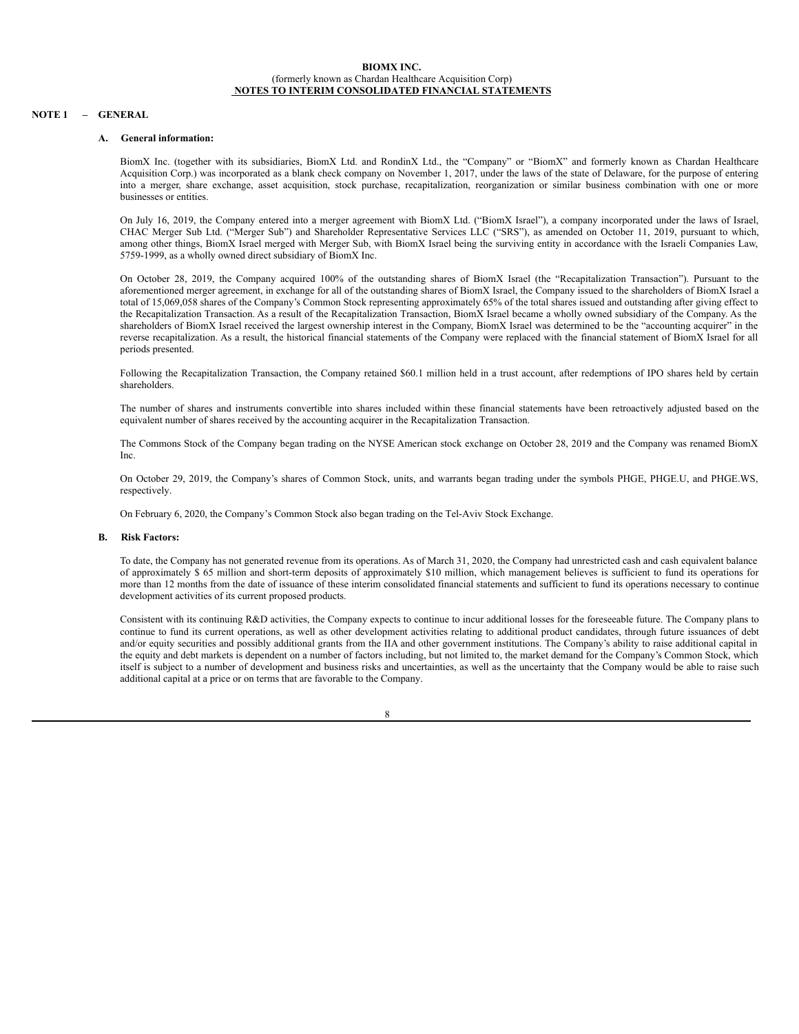# **NOTE 1 – GENERAL**

## **A. General information:**

<span id="page-10-0"></span>BiomX Inc. (together with its subsidiaries, BiomX Ltd. and RondinX Ltd., the "Company" or "BiomX" and formerly known as Chardan Healthcare Acquisition Corp.) was incorporated as a blank check company on November 1, 2017, under the laws of the state of Delaware, for the purpose of entering into a merger, share exchange, asset acquisition, stock purchase, recapitalization, reorganization or similar business combination with one or more businesses or entities.

On July 16, 2019, the Company entered into a merger agreement with BiomX Ltd. ("BiomX Israel"), a company incorporated under the laws of Israel, CHAC Merger Sub Ltd. ("Merger Sub") and Shareholder Representative Services LLC ("SRS"), as amended on October 11, 2019, pursuant to which, among other things, BiomX Israel merged with Merger Sub, with BiomX Israel being the surviving entity in accordance with the Israeli Companies Law, 5759-1999, as a wholly owned direct subsidiary of BiomX Inc.

On October 28, 2019, the Company acquired 100% of the outstanding shares of BiomX Israel (the "Recapitalization Transaction"). Pursuant to the aforementioned merger agreement, in exchange for all of the outstanding shares of BiomX Israel, the Company issued to the shareholders of BiomX Israel a total of 15,069,058 shares of the Company's Common Stock representing approximately 65% of the total shares issued and outstanding after giving effect to the Recapitalization Transaction. As a result of the Recapitalization Transaction, BiomX Israel became a wholly owned subsidiary of the Company. As the shareholders of BiomX Israel received the largest ownership interest in the Company, BiomX Israel was determined to be the "accounting acquirer" in the reverse recapitalization. As a result, the historical financial statements of the Company were replaced with the financial statement of BiomX Israel for all periods presented.

Following the Recapitalization Transaction, the Company retained \$60.1 million held in a trust account, after redemptions of IPO shares held by certain shareholders.

The number of shares and instruments convertible into shares included within these financial statements have been retroactively adjusted based on the equivalent number of shares received by the accounting acquirer in the Recapitalization Transaction.

The Commons Stock of the Company began trading on the NYSE American stock exchange on October 28, 2019 and the Company was renamed BiomX Inc.

On October 29, 2019, the Company's shares of Common Stock, units, and warrants began trading under the symbols PHGE, PHGE.U, and PHGE.WS, respectively.

On February 6, 2020, the Company's Common Stock also began trading on the Tel-Aviv Stock Exchange.

## **B. Risk Factors:**

To date, the Company has not generated revenue from its operations. As of March 31, 2020, the Company had unrestricted cash and cash equivalent balance of approximately \$ 65 million and short-term deposits of approximately \$10 million, which management believes is sufficient to fund its operations for more than 12 months from the date of issuance of these interim consolidated financial statements and sufficient to fund its operations necessary to continue development activities of its current proposed products.

Consistent with its continuing R&D activities, the Company expects to continue to incur additional losses for the foreseeable future. The Company plans to continue to fund its current operations, as well as other development activities relating to additional product candidates, through future issuances of debt and/or equity securities and possibly additional grants from the IIA and other government institutions. The Company's ability to raise additional capital in the equity and debt markets is dependent on a number of factors including, but not limited to, the market demand for the Company's Common Stock, which itself is subject to a number of development and business risks and uncertainties, as well as the uncertainty that the Company would be able to raise such additional capital at a price or on terms that are favorable to the Company.

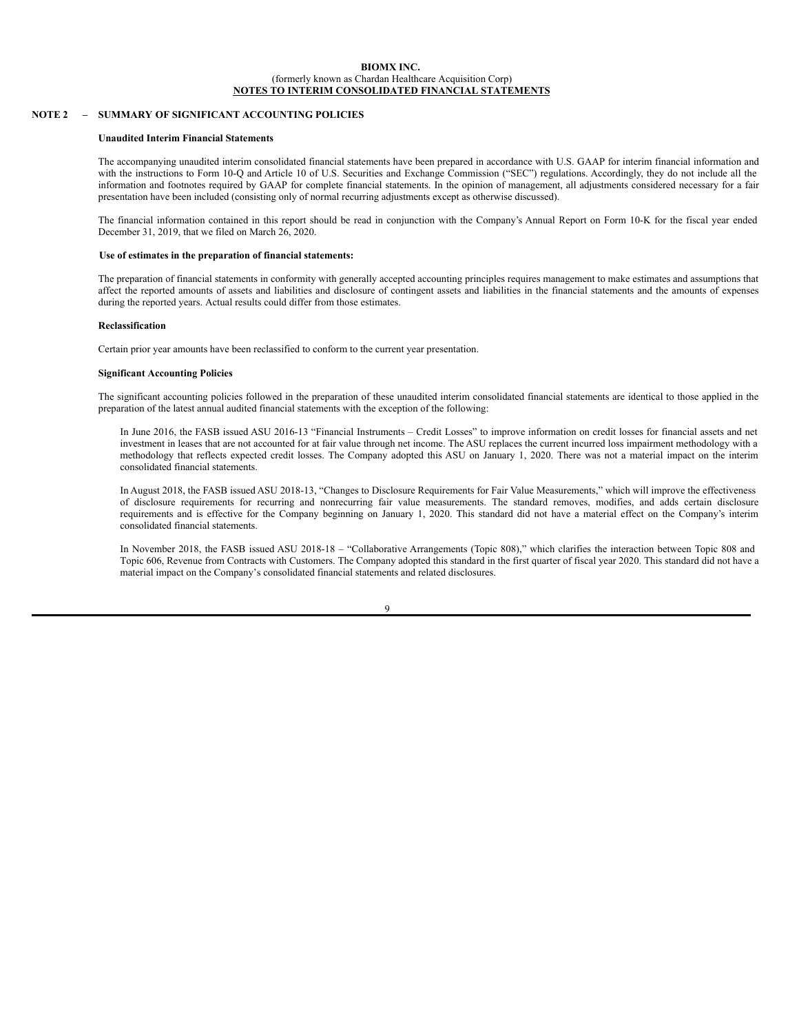# **NOTE 2 – SUMMARY OF SIGNIFICANT ACCOUNTING POLICIES**

## **Unaudited Interim Financial Statements**

The accompanying unaudited interim consolidated financial statements have been prepared in accordance with U.S. GAAP for interim financial information and with the instructions to Form 10-Q and Article 10 of U.S. Securities and Exchange Commission ("SEC") regulations. Accordingly, they do not include all the information and footnotes required by GAAP for complete financial statements. In the opinion of management, all adjustments considered necessary for a fair presentation have been included (consisting only of normal recurring adjustments except as otherwise discussed).

The financial information contained in this report should be read in conjunction with the Company's Annual Report on Form 10-K for the fiscal year ended December 31, 2019, that we filed on March 26, 2020.

## **Use of estimates in the preparation of financial statements:**

The preparation of financial statements in conformity with generally accepted accounting principles requires management to make estimates and assumptions that affect the reported amounts of assets and liabilities and disclosure of contingent assets and liabilities in the financial statements and the amounts of expenses during the reported years. Actual results could differ from those estimates.

## **Reclassification**

Certain prior year amounts have been reclassified to conform to the current year presentation.

### **Significant Accounting Policies**

The significant accounting policies followed in the preparation of these unaudited interim consolidated financial statements are identical to those applied in the preparation of the latest annual audited financial statements with the exception of the following:

In June 2016, the FASB issued ASU 2016-13 "Financial Instruments – Credit Losses" to improve information on credit losses for financial assets and net investment in leases that are not accounted for at fair value through net income. The ASU replaces the current incurred loss impairment methodology with a methodology that reflects expected credit losses. The Company adopted this ASU on January 1, 2020. There was not a material impact on the interim consolidated financial statements.

In August 2018, the FASB issued ASU 2018-13, "Changes to Disclosure Requirements for Fair Value Measurements," which will improve the effectiveness of disclosure requirements for recurring and nonrecurring fair value measurements. The standard removes, modifies, and adds certain disclosure requirements and is effective for the Company beginning on January 1, 2020. This standard did not have a material effect on the Company's interim consolidated financial statements.

In November 2018, the FASB issued ASU 2018-18 – "Collaborative Arrangements (Topic 808)," which clarifies the interaction between Topic 808 and Topic 606, Revenue from Contracts with Customers. The Company adopted this standard in the first quarter of fiscal year 2020. This standard did not have a material impact on the Company's consolidated financial statements and related disclosures.

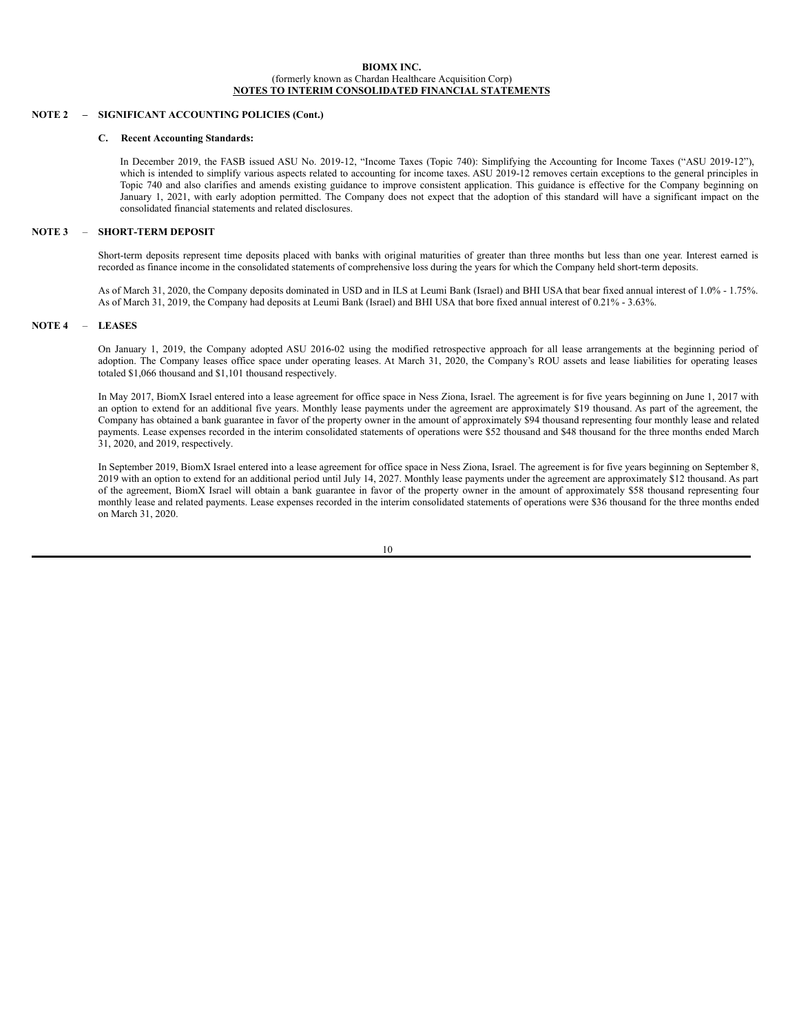# **NOTE 2 – SIGNIFICANT ACCOUNTING POLICIES (Cont.)**

## **C. Recent Accounting Standards:**

In December 2019, the FASB issued ASU No. 2019-12, "Income Taxes (Topic 740): Simplifying the Accounting for Income Taxes ("ASU 2019-12"), which is intended to simplify various aspects related to accounting for income taxes. ASU 2019-12 removes certain exceptions to the general principles in Topic 740 and also clarifies and amends existing guidance to improve consistent application. This guidance is effective for the Company beginning on January 1, 2021, with early adoption permitted. The Company does not expect that the adoption of this standard will have a significant impact on the consolidated financial statements and related disclosures.

## **NOTE 3** – **SHORT-TERM DEPOSIT**

Short-term deposits represent time deposits placed with banks with original maturities of greater than three months but less than one year. Interest earned is recorded as finance income in the consolidated statements of comprehensive loss during the years for which the Company held short-term deposits.

As of March 31, 2020, the Company deposits dominated in USD and in ILS at Leumi Bank (Israel) and BHI USA that bear fixed annual interest of 1.0% - 1.75%. As of March 31, 2019, the Company had deposits at Leumi Bank (Israel) and BHI USA that bore fixed annual interest of 0.21% - 3.63%.

## **NOTE 4** – **LEASES**

On January 1, 2019, the Company adopted ASU 2016-02 using the modified retrospective approach for all lease arrangements at the beginning period of adoption. The Company leases office space under operating leases. At March 31, 2020, the Company's ROU assets and lease liabilities for operating leases totaled \$1,066 thousand and \$1,101 thousand respectively.

In May 2017, BiomX Israel entered into a lease agreement for office space in Ness Ziona, Israel. The agreement is for five years beginning on June 1, 2017 with an option to extend for an additional five years. Monthly lease payments under the agreement are approximately \$19 thousand. As part of the agreement, the Company has obtained a bank guarantee in favor of the property owner in the amount of approximately \$94 thousand representing four monthly lease and related payments. Lease expenses recorded in the interim consolidated statements of operations were \$52 thousand and \$48 thousand for the three months ended March 31, 2020, and 2019, respectively.

In September 2019, BiomX Israel entered into a lease agreement for office space in Ness Ziona, Israel. The agreement is for five years beginning on September 8, 2019 with an option to extend for an additional period until July 14, 2027. Monthly lease payments under the agreement are approximately \$12 thousand. As part of the agreement, BiomX Israel will obtain a bank guarantee in favor of the property owner in the amount of approximately \$58 thousand representing four monthly lease and related payments. Lease expenses recorded in the interim consolidated statements of operations were \$36 thousand for the three months ended on March 31, 2020.

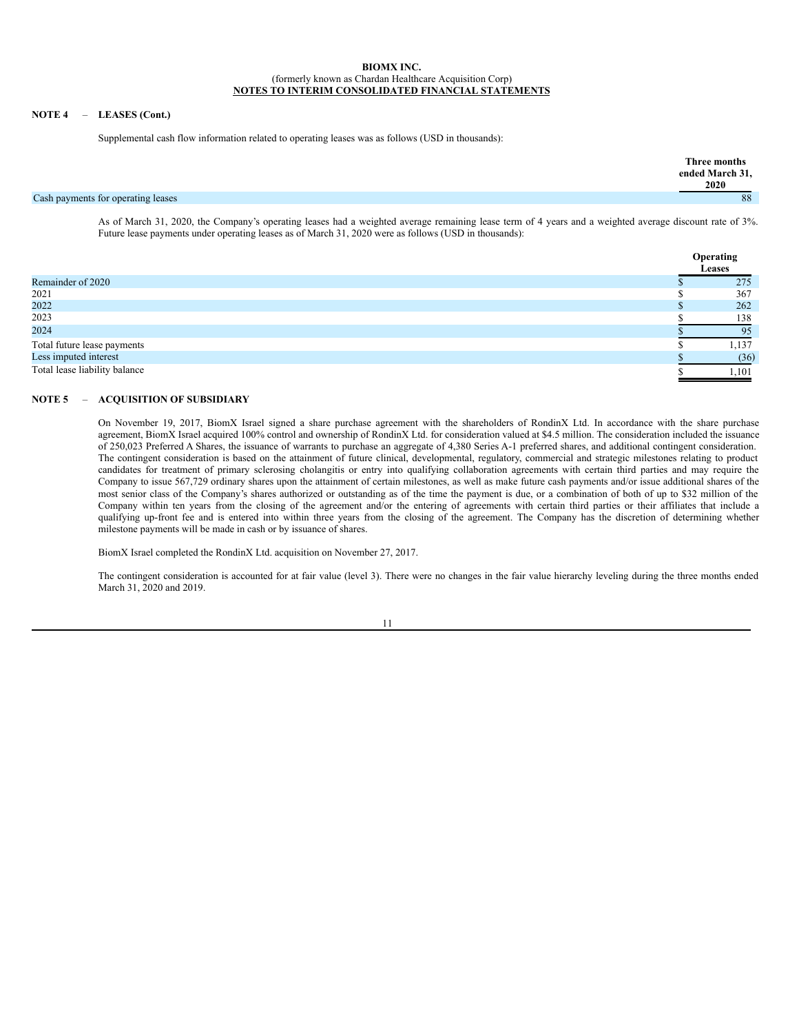# **NOTE 4** – **LEASES (Cont.)**

Supplemental cash flow information related to operating leases was as follows (USD in thousands):

|                                    | Three months<br>ended March 31,<br>2020 |
|------------------------------------|-----------------------------------------|
| Cash payments for operating leases | 88                                      |
|                                    |                                         |

As of March 31, 2020, the Company's operating leases had a weighted average remaining lease term of 4 years and a weighted average discount rate of 3%. Future lease payments under operating leases as of March 31, 2020 were as follows (USD in thousands):

|                               | Operating |
|-------------------------------|-----------|
|                               | Leases    |
| Remainder of 2020             | 275       |
| 2021                          | 367       |
| 2022                          | 262       |
| 2023                          | 138       |
| 2024                          | 95        |
| Total future lease payments   | 1,137     |
| Less imputed interest         | (36)      |
| Total lease liability balance | 1,101     |

## **NOTE 5** – **ACQUISITION OF SUBSIDIARY**

On November 19, 2017, BiomX Israel signed a share purchase agreement with the shareholders of RondinX Ltd. In accordance with the share purchase agreement, BiomX Israel acquired 100% control and ownership of RondinX Ltd. for consideration valued at \$4.5 million. The consideration included the issuance of 250,023 Preferred A Shares, the issuance of warrants to purchase an aggregate of 4,380 Series A-1 preferred shares, and additional contingent consideration. The contingent consideration is based on the attainment of future clinical, developmental, regulatory, commercial and strategic milestones relating to product candidates for treatment of primary sclerosing cholangitis or entry into qualifying collaboration agreements with certain third parties and may require the Company to issue 567,729 ordinary shares upon the attainment of certain milestones, as well as make future cash payments and/or issue additional shares of the most senior class of the Company's shares authorized or outstanding as of the time the payment is due, or a combination of both of up to \$32 million of the Company within ten years from the closing of the agreement and/or the entering of agreements with certain third parties or their affiliates that include a qualifying up-front fee and is entered into within three years from the closing of the agreement. The Company has the discretion of determining whether milestone payments will be made in cash or by issuance of shares.

BiomX Israel completed the RondinX Ltd. acquisition on November 27, 2017.

The contingent consideration is accounted for at fair value (level 3). There were no changes in the fair value hierarchy leveling during the three months ended March 31, 2020 and 2019.

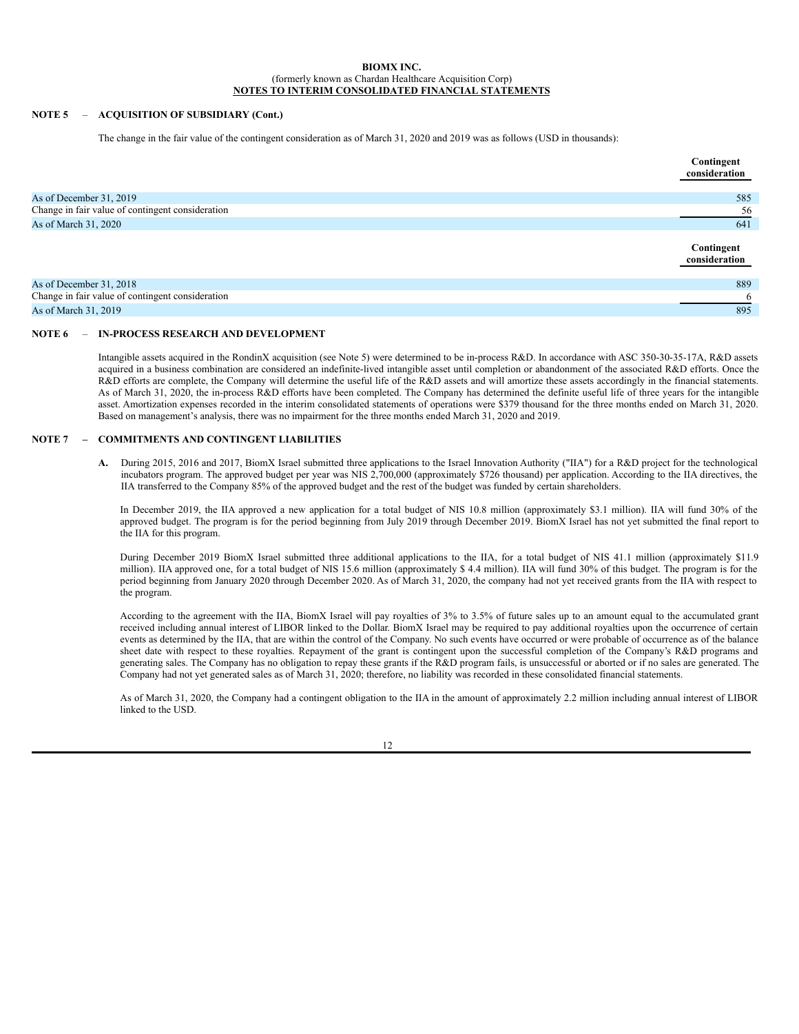# **NOTE 5** – **ACQUISITION OF SUBSIDIARY (Cont.)**

The change in the fair value of the contingent consideration as of March 31, 2020 and 2019 was as follows (USD in thousands):

|                                                  | Contingent<br>consideration |
|--------------------------------------------------|-----------------------------|
| As of December 31, 2019                          | 585                         |
| Change in fair value of contingent consideration | 56                          |
| As of March 31, 2020                             | 641                         |
|                                                  | Contingent<br>consideration |
| As of December 31, 2018                          | 889                         |
| Change in fair value of contingent consideration |                             |
| As of March 31, 2019                             | 895                         |

### **NOTE 6** – **IN-PROCESS RESEARCH AND DEVELOPMENT**

Intangible assets acquired in the RondinX acquisition (see Note 5) were determined to be in-process R&D. In accordance with ASC 350-30-35-17A, R&D assets acquired in a business combination are considered an indefinite-lived intangible asset until completion or abandonment of the associated R&D efforts. Once the R&D efforts are complete, the Company will determine the useful life of the R&D assets and will amortize these assets accordingly in the financial statements. As of March 31, 2020, the in-process R&D efforts have been completed. The Company has determined the definite useful life of three years for the intangible asset. Amortization expenses recorded in the interim consolidated statements of operations were \$379 thousand for the three months ended on March 31, 2020. Based on management's analysis, there was no impairment for the three months ended March 31, 2020 and 2019.

### **NOTE 7 – COMMITMENTS AND CONTINGENT LIABILITIES**

**A.** During 2015, 2016 and 2017, BiomX Israel submitted three applications to the Israel Innovation Authority ("IIA") for a R&D project for the technological incubators program. The approved budget per year was NIS 2,700,000 (approximately \$726 thousand) per application. According to the IIA directives, the IIA transferred to the Company 85% of the approved budget and the rest of the budget was funded by certain shareholders.

In December 2019, the IIA approved a new application for a total budget of NIS 10.8 million (approximately \$3.1 million). IIA will fund 30% of the approved budget. The program is for the period beginning from July 2019 through December 2019. BiomX Israel has not yet submitted the final report to the IIA for this program.

During December 2019 BiomX Israel submitted three additional applications to the IIA, for a total budget of NIS 41.1 million (approximately \$11.9 million). IIA approved one, for a total budget of NIS 15.6 million (approximately \$ 4.4 million). IIA will fund 30% of this budget. The program is for the period beginning from January 2020 through December 2020. As of March 31, 2020, the company had not yet received grants from the IIA with respect to the program.

According to the agreement with the IIA, BiomX Israel will pay royalties of 3% to 3.5% of future sales up to an amount equal to the accumulated grant received including annual interest of LIBOR linked to the Dollar. BiomX Israel may be required to pay additional royalties upon the occurrence of certain events as determined by the IIA, that are within the control of the Company. No such events have occurred or were probable of occurrence as of the balance sheet date with respect to these royalties. Repayment of the grant is contingent upon the successful completion of the Company's R&D programs and generating sales. The Company has no obligation to repay these grants if the R&D program fails, is unsuccessful or aborted or if no sales are generated. The Company had not yet generated sales as of March 31, 2020; therefore, no liability was recorded in these consolidated financial statements.

As of March 31, 2020, the Company had a contingent obligation to the IIA in the amount of approximately 2.2 million including annual interest of LIBOR linked to the USD.

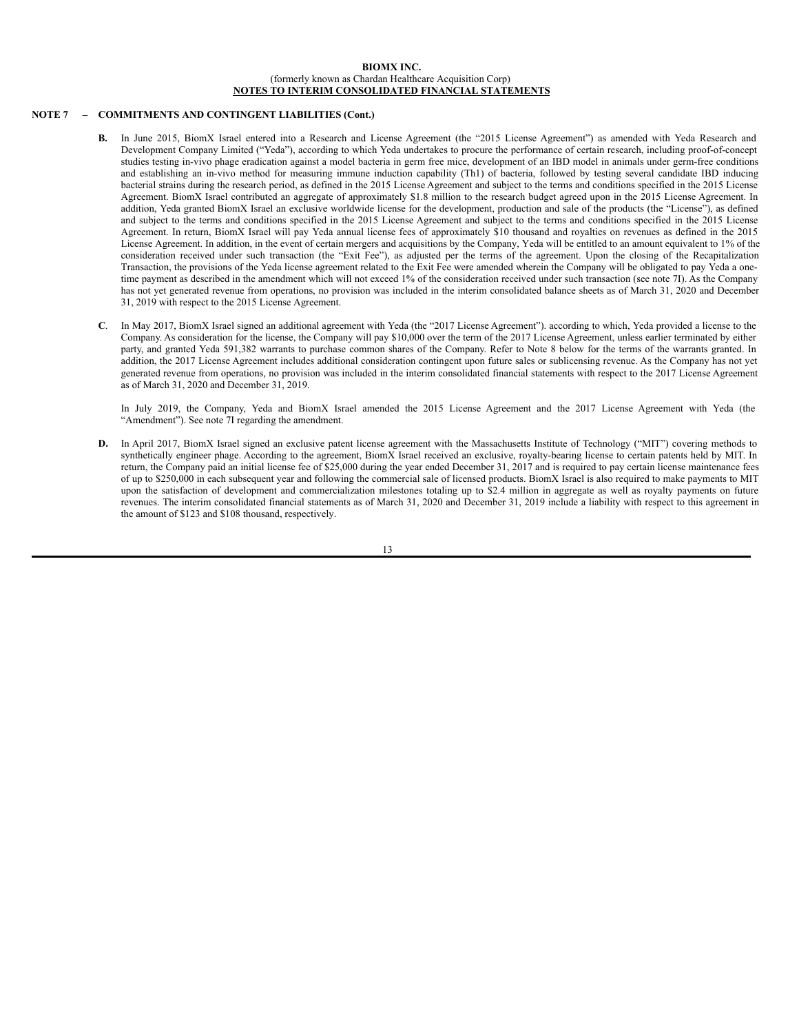## **NOTE 7 – COMMITMENTS AND CONTINGENT LIABILITIES (Cont.)**

- **B.** In June 2015, BiomX Israel entered into a Research and License Agreement (the "2015 License Agreement") as amended with Yeda Research and Development Company Limited ("Yeda"), according to which Yeda undertakes to procure the performance of certain research, including proof-of-concept studies testing in-vivo phage eradication against a model bacteria in germ free mice, development of an IBD model in animals under germ-free conditions and establishing an in-vivo method for measuring immune induction capability (Th1) of bacteria, followed by testing several candidate IBD inducing bacterial strains during the research period, as defined in the 2015 License Agreement and subject to the terms and conditions specified in the 2015 License Agreement. BiomX Israel contributed an aggregate of approximately \$1.8 million to the research budget agreed upon in the 2015 License Agreement. In addition, Yeda granted BiomX Israel an exclusive worldwide license for the development, production and sale of the products (the "License"), as defined and subject to the terms and conditions specified in the 2015 License Agreement and subject to the terms and conditions specified in the 2015 License Agreement. In return, BiomX Israel will pay Yeda annual license fees of approximately \$10 thousand and royalties on revenues as defined in the 2015 License Agreement. In addition, in the event of certain mergers and acquisitions by the Company, Yeda will be entitled to an amount equivalent to 1% of the consideration received under such transaction (the "Exit Fee"), as adjusted per the terms of the agreement. Upon the closing of the Recapitalization Transaction, the provisions of the Yeda license agreement related to the Exit Fee were amended wherein the Company will be obligated to pay Yeda a onetime payment as described in the amendment which will not exceed 1% of the consideration received under such transaction (see note 7I). As the Company has not yet generated revenue from operations, no provision was included in the interim consolidated balance sheets as of March 31, 2020 and December 31, 2019 with respect to the 2015 License Agreement.
- **C**. In May 2017, BiomX Israel signed an additional agreement with Yeda (the "2017 License Agreement"). according to which, Yeda provided a license to the Company. As consideration for the license, the Company will pay \$10,000 over the term of the 2017 License Agreement, unless earlier terminated by either party, and granted Yeda 591,382 warrants to purchase common shares of the Company. Refer to Note 8 below for the terms of the warrants granted. In addition, the 2017 License Agreement includes additional consideration contingent upon future sales or sublicensing revenue. As the Company has not yet generated revenue from operations, no provision was included in the interim consolidated financial statements with respect to the 2017 License Agreement as of March 31, 2020 and December 31, 2019.

In July 2019, the Company, Yeda and BiomX Israel amended the 2015 License Agreement and the 2017 License Agreement with Yeda (the "Amendment"). See note 7I regarding the amendment.

**D.** In April 2017, BiomX Israel signed an exclusive patent license agreement with the Massachusetts Institute of Technology ("MIT") covering methods to synthetically engineer phage. According to the agreement, BiomX Israel received an exclusive, royalty-bearing license to certain patents held by MIT. In return, the Company paid an initial license fee of \$25,000 during the year ended December 31, 2017 and is required to pay certain license maintenance fees of up to \$250,000 in each subsequent year and following the commercial sale of licensed products. BiomX Israel is also required to make payments to MIT upon the satisfaction of development and commercialization milestones totaling up to \$2.4 million in aggregate as well as royalty payments on future revenues. The interim consolidated financial statements as of March 31, 2020 and December 31, 2019 include a liability with respect to this agreement in the amount of \$123 and \$108 thousand, respectively.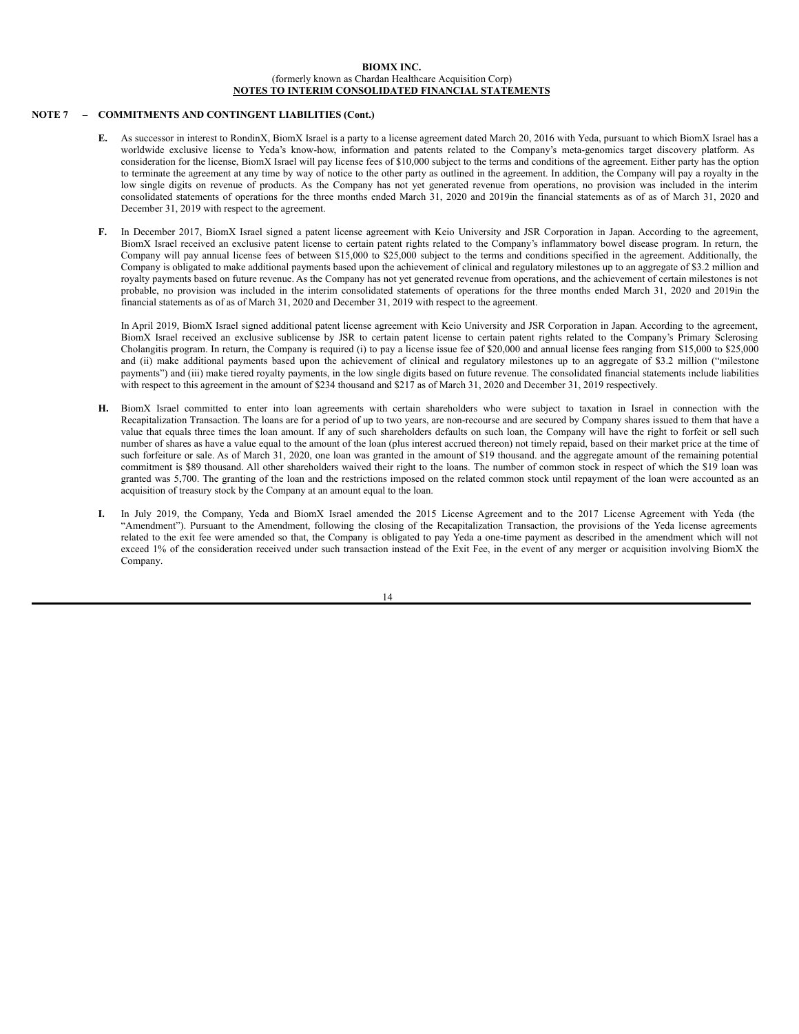## **NOTE 7 – COMMITMENTS AND CONTINGENT LIABILITIES (Cont.)**

- **E.** As successor in interest to RondinX, BiomX Israel is a party to a license agreement dated March 20, 2016 with Yeda, pursuant to which BiomX Israel has a worldwide exclusive license to Yeda's know-how, information and patents related to the Company's meta-genomics target discovery platform. As consideration for the license, BiomX Israel will pay license fees of \$10,000 subject to the terms and conditions of the agreement. Either party has the option to terminate the agreement at any time by way of notice to the other party as outlined in the agreement. In addition, the Company will pay a royalty in the low single digits on revenue of products. As the Company has not yet generated revenue from operations, no provision was included in the interim consolidated statements of operations for the three months ended March 31, 2020 and 2019in the financial statements as of as of March 31, 2020 and December 31, 2019 with respect to the agreement.
- **F.** In December 2017, BiomX Israel signed a patent license agreement with Keio University and JSR Corporation in Japan. According to the agreement, BiomX Israel received an exclusive patent license to certain patent rights related to the Company's inflammatory bowel disease program. In return, the Company will pay annual license fees of between \$15,000 to \$25,000 subject to the terms and conditions specified in the agreement. Additionally, the Company is obligated to make additional payments based upon the achievement of clinical and regulatory milestones up to an aggregate of \$3.2 million and royalty payments based on future revenue. As the Company has not yet generated revenue from operations, and the achievement of certain milestones is not probable, no provision was included in the interim consolidated statements of operations for the three months ended March 31, 2020 and 2019in the financial statements as of as of March 31, 2020 and December 31, 2019 with respect to the agreement.

In April 2019, BiomX Israel signed additional patent license agreement with Keio University and JSR Corporation in Japan. According to the agreement, BiomX Israel received an exclusive sublicense by JSR to certain patent license to certain patent rights related to the Company's Primary Sclerosing Cholangitis program. In return, the Company is required (i) to pay a license issue fee of \$20,000 and annual license fees ranging from \$15,000 to \$25,000 and (ii) make additional payments based upon the achievement of clinical and regulatory milestones up to an aggregate of \$3.2 million ("milestone payments") and (iii) make tiered royalty payments, in the low single digits based on future revenue. The consolidated financial statements include liabilities with respect to this agreement in the amount of \$234 thousand and \$217 as of March 31, 2020 and December 31, 2019 respectively.

- **H.** BiomX Israel committed to enter into loan agreements with certain shareholders who were subject to taxation in Israel in connection with the Recapitalization Transaction. The loans are for a period of up to two years, are non-recourse and are secured by Company shares issued to them that have a value that equals three times the loan amount. If any of such shareholders defaults on such loan, the Company will have the right to forfeit or sell such number of shares as have a value equal to the amount of the loan (plus interest accrued thereon) not timely repaid, based on their market price at the time of such forfeiture or sale. As of March 31, 2020, one loan was granted in the amount of \$19 thousand, and the aggregate amount of the remaining potential commitment is \$89 thousand. All other shareholders waived their right to the loans. The number of common stock in respect of which the \$19 loan was granted was 5,700. The granting of the loan and the restrictions imposed on the related common stock until repayment of the loan were accounted as an acquisition of treasury stock by the Company at an amount equal to the loan.
- **I.** In July 2019, the Company, Yeda and BiomX Israel amended the 2015 License Agreement and to the 2017 License Agreement with Yeda (the "Amendment"). Pursuant to the Amendment, following the closing of the Recapitalization Transaction, the provisions of the Yeda license agreements related to the exit fee were amended so that, the Company is obligated to pay Yeda a one-time payment as described in the amendment which will not exceed 1% of the consideration received under such transaction instead of the Exit Fee, in the event of any merger or acquisition involving BiomX the Company.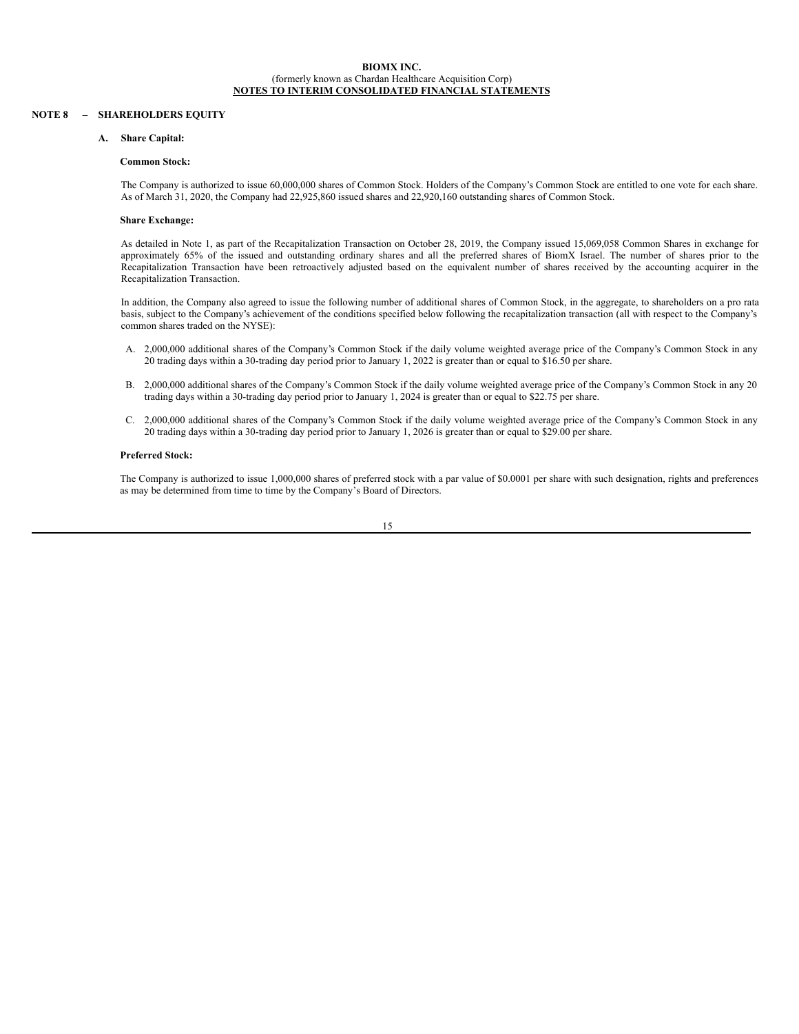# **NOTE 8 – SHAREHOLDERS EQUITY**

## **A. Share Capital:**

### **Common Stock:**

The Company is authorized to issue 60,000,000 shares of Common Stock. Holders of the Company's Common Stock are entitled to one vote for each share. As of March 31, 2020, the Company had 22,925,860 issued shares and 22,920,160 outstanding shares of Common Stock.

#### **Share Exchange:**

As detailed in Note 1, as part of the Recapitalization Transaction on October 28, 2019, the Company issued 15,069,058 Common Shares in exchange for approximately 65% of the issued and outstanding ordinary shares and all the preferred shares of BiomX Israel. The number of shares prior to the Recapitalization Transaction have been retroactively adjusted based on the equivalent number of shares received by the accounting acquirer in the Recapitalization Transaction.

In addition, the Company also agreed to issue the following number of additional shares of Common Stock, in the aggregate, to shareholders on a pro rata basis, subject to the Company's achievement of the conditions specified below following the recapitalization transaction (all with respect to the Company's common shares traded on the NYSE):

- A. 2,000,000 additional shares of the Company's Common Stock if the daily volume weighted average price of the Company's Common Stock in any 20 trading days within a 30-trading day period prior to January 1, 2022 is greater than or equal to \$16.50 per share.
- B. 2,000,000 additional shares of the Company's Common Stock if the daily volume weighted average price of the Company's Common Stock in any 20 trading days within a 30-trading day period prior to January 1, 2024 is greater than or equal to \$22.75 per share.
- C. 2,000,000 additional shares of the Company's Common Stock if the daily volume weighted average price of the Company's Common Stock in any 20 trading days within a 30-trading day period prior to January 1, 2026 is greater than or equal to \$29.00 per share.

### **Preferred Stock:**

The Company is authorized to issue 1,000,000 shares of preferred stock with a par value of \$0.0001 per share with such designation, rights and preferences as may be determined from time to time by the Company's Board of Directors.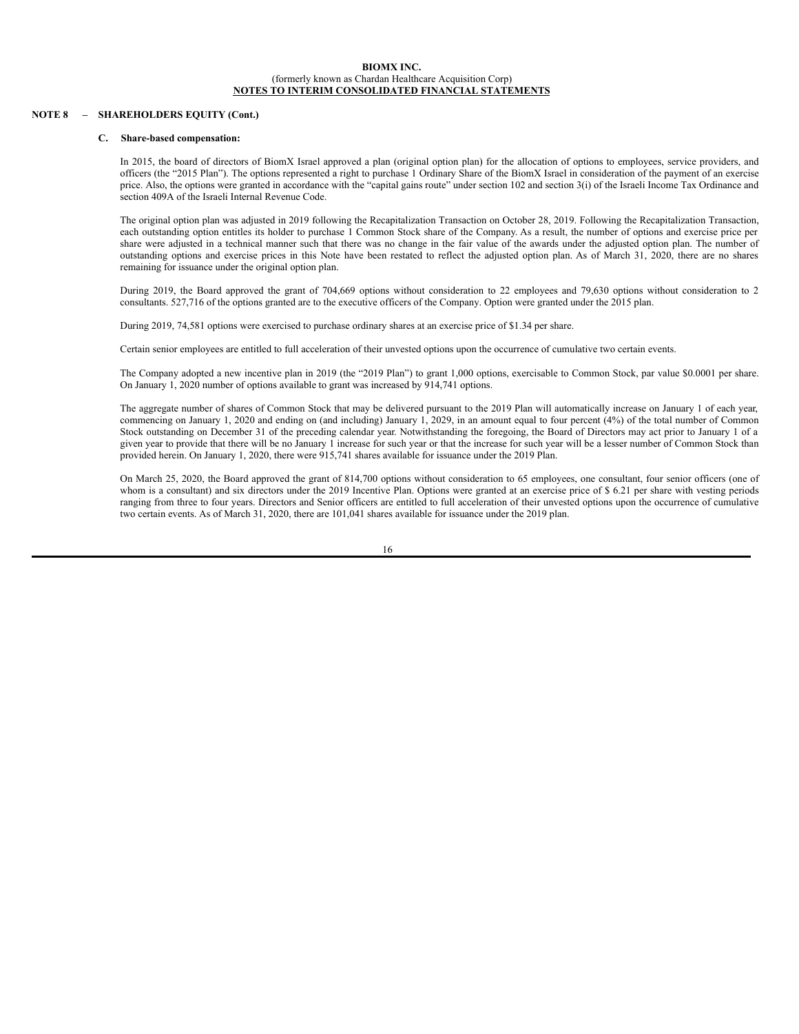# **NOTE 8 – SHAREHOLDERS EQUITY (Cont.)**

## **C. Share-based compensation:**

In 2015, the board of directors of BiomX Israel approved a plan (original option plan) for the allocation of options to employees, service providers, and officers (the "2015 Plan"). The options represented a right to purchase 1 Ordinary Share of the BiomX Israel in consideration of the payment of an exercise price. Also, the options were granted in accordance with the "capital gains route" under section 102 and section 3(i) of the Israeli Income Tax Ordinance and section 409A of the Israeli Internal Revenue Code.

The original option plan was adjusted in 2019 following the Recapitalization Transaction on October 28, 2019. Following the Recapitalization Transaction, each outstanding option entitles its holder to purchase 1 Common Stock share of the Company. As a result, the number of options and exercise price per share were adjusted in a technical manner such that there was no change in the fair value of the awards under the adjusted option plan. The number of outstanding options and exercise prices in this Note have been restated to reflect the adjusted option plan. As of March 31, 2020, there are no shares remaining for issuance under the original option plan.

During 2019, the Board approved the grant of 704,669 options without consideration to 22 employees and 79,630 options without consideration to 2 consultants. 527,716 of the options granted are to the executive officers of the Company. Option were granted under the 2015 plan.

During 2019, 74,581 options were exercised to purchase ordinary shares at an exercise price of \$1.34 per share.

Certain senior employees are entitled to full acceleration of their unvested options upon the occurrence of cumulative two certain events.

The Company adopted a new incentive plan in 2019 (the "2019 Plan") to grant 1,000 options, exercisable to Common Stock, par value \$0.0001 per share. On January 1, 2020 number of options available to grant was increased by 914,741 options.

The aggregate number of shares of Common Stock that may be delivered pursuant to the 2019 Plan will automatically increase on January 1 of each year, commencing on January 1, 2020 and ending on (and including) January 1, 2029, in an amount equal to four percent (4%) of the total number of Common Stock outstanding on December 31 of the preceding calendar year. Notwithstanding the foregoing, the Board of Directors may act prior to January 1 of a given year to provide that there will be no January 1 increase for such year or that the increase for such year will be a lesser number of Common Stock than provided herein. On January 1, 2020, there were 915,741 shares available for issuance under the 2019 Plan.

On March 25, 2020, the Board approved the grant of 814,700 options without consideration to 65 employees, one consultant, four senior officers (one of whom is a consultant) and six directors under the 2019 Incentive Plan. Options were granted at an exercise price of \$ 6.21 per share with vesting periods ranging from three to four years. Directors and Senior officers are entitled to full acceleration of their unvested options upon the occurrence of cumulative two certain events. As of March 31, 2020, there are 101,041 shares available for issuance under the 2019 plan.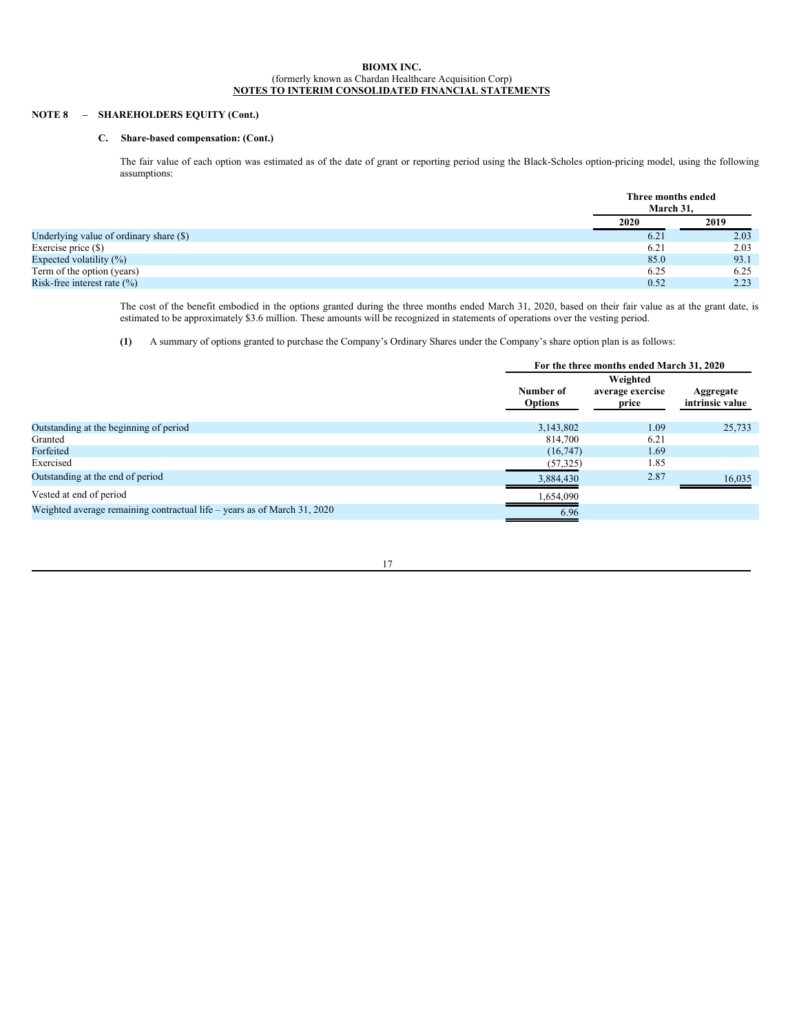# **NOTE 8 – SHAREHOLDERS EQUITY (Cont.)**

## **C. Share-based compensation: (Cont.)**

The fair value of each option was estimated as of the date of grant or reporting period using the Black-Scholes option-pricing model, using the following assumptions:

|                                         |      | Three months ended<br>March 31. |  |
|-----------------------------------------|------|---------------------------------|--|
|                                         | 2020 | 2019                            |  |
| Underlying value of ordinary share (\$) | 6.21 | 2.03                            |  |
| Exercise price $(\$)$                   | 6.21 | 2.03                            |  |
| Expected volatility $(\%)$              | 85.0 | 93.1                            |  |
| Term of the option (years)              | 6.25 | 6.25                            |  |
| Risk-free interest rate $(\% )$         | 0.52 | 2.23                            |  |

The cost of the benefit embodied in the options granted during the three months ended March 31, 2020, based on their fair value as at the grant date, is estimated to be approximately \$3.6 million. These amounts will be recognized in statements of operations over the vesting period.

**(1)** A summary of options granted to purchase the Company's Ordinary Shares under the Company's share option plan is as follows:

|                                                                          |                             | For the three months ended March 31, 2020 |                              |  |
|--------------------------------------------------------------------------|-----------------------------|-------------------------------------------|------------------------------|--|
|                                                                          | Number of<br><b>Options</b> | Weighted<br>average exercise<br>price     | Aggregate<br>intrinsic value |  |
| Outstanding at the beginning of period                                   | 3,143,802                   | 1.09                                      | 25,733                       |  |
| Granted                                                                  | 814,700                     | 6.21                                      |                              |  |
| Forfeited                                                                | (16,747)                    | 1.69                                      |                              |  |
| Exercised                                                                | (57, 325)                   | 1.85                                      |                              |  |
| Outstanding at the end of period                                         | 3,884,430                   | 2.87                                      | 16,035                       |  |
| Vested at end of period                                                  | 1,654,090                   |                                           |                              |  |
| Weighted average remaining contractual life – years as of March 31, 2020 | 6.96                        |                                           |                              |  |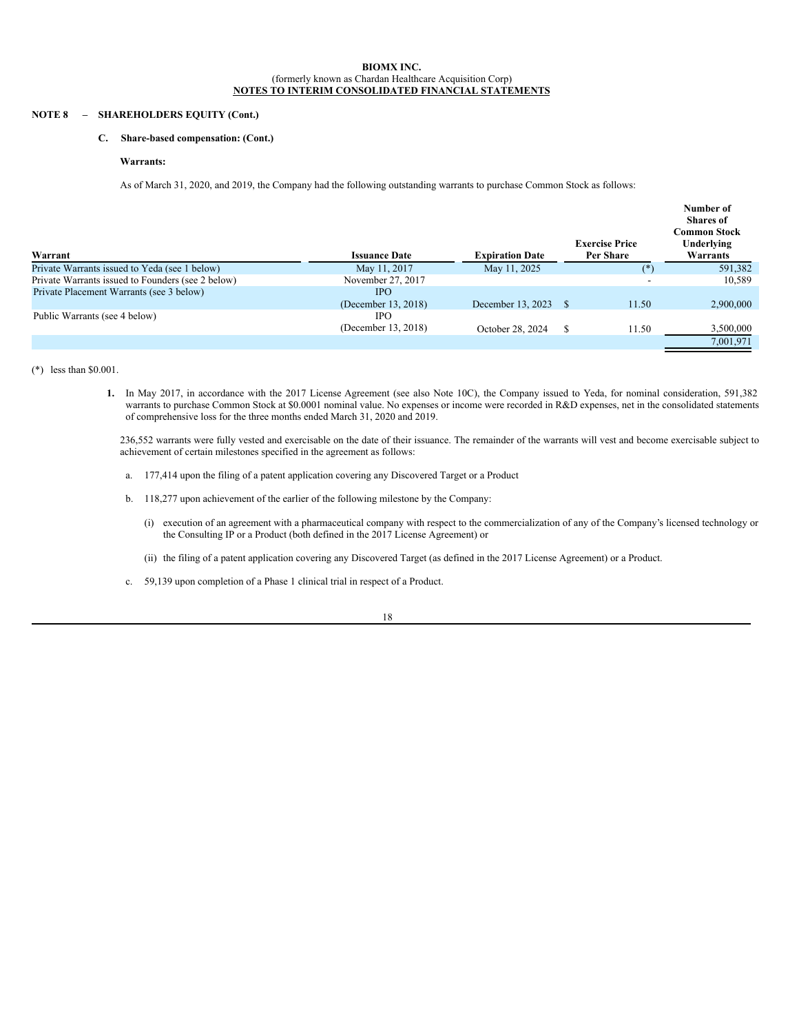# **NOTE 8 – SHAREHOLDERS EQUITY (Cont.)**

# **C. Share-based compensation: (Cont.)**

#### **Warrants:**

As of March 31, 2020, and 2019, the Company had the following outstanding warrants to purchase Common Stock as follows:

| Warrant                                           | <b>Issuance Date</b> | <b>Expiration Date</b> | <b>Exercise Price</b><br>Per Share | Number of<br><b>Shares of</b><br><b>Common Stock</b><br>Underlying<br>Warrants |
|---------------------------------------------------|----------------------|------------------------|------------------------------------|--------------------------------------------------------------------------------|
| Private Warrants issued to Yeda (see 1 below)     | May 11, 2017         | May 11, 2025           | $(*$                               | 591,382                                                                        |
| Private Warrants issued to Founders (see 2 below) | November 27, 2017    |                        |                                    | 10,589                                                                         |
| Private Placement Warrants (see 3 below)          | <b>IPO</b>           |                        |                                    |                                                                                |
|                                                   | (December 13, 2018)  | December 13, 2023      | 11.50                              | 2,900,000                                                                      |
| Public Warrants (see 4 below)                     | <b>IPO</b>           |                        |                                    |                                                                                |
|                                                   | (December 13, 2018)  | October 28, 2024       | 11.50<br>S                         | 3,500,000                                                                      |
|                                                   |                      |                        |                                    | 7.001.971                                                                      |

## (\*) less than \$0.001.

**1.** In May 2017, in accordance with the 2017 License Agreement (see also Note 10C), the Company issued to Yeda, for nominal consideration, 591,382 warrants to purchase Common Stock at \$0.0001 nominal value. No expenses or income were recorded in R&D expenses, net in the consolidated statements of comprehensive loss for the three months ended March 31, 2020 and 2019.

236,552 warrants were fully vested and exercisable on the date of their issuance. The remainder of the warrants will vest and become exercisable subject to achievement of certain milestones specified in the agreement as follows:

- a. 177,414 upon the filing of a patent application covering any Discovered Target or a Product
- b. 118,277 upon achievement of the earlier of the following milestone by the Company:
	- (i) execution of an agreement with a pharmaceutical company with respect to the commercialization of any of the Company's licensed technology or the Consulting IP or a Product (both defined in the 2017 License Agreement) or
	- (ii) the filing of a patent application covering any Discovered Target (as defined in the 2017 License Agreement) or a Product.
- c. 59,139 upon completion of a Phase 1 clinical trial in respect of a Product.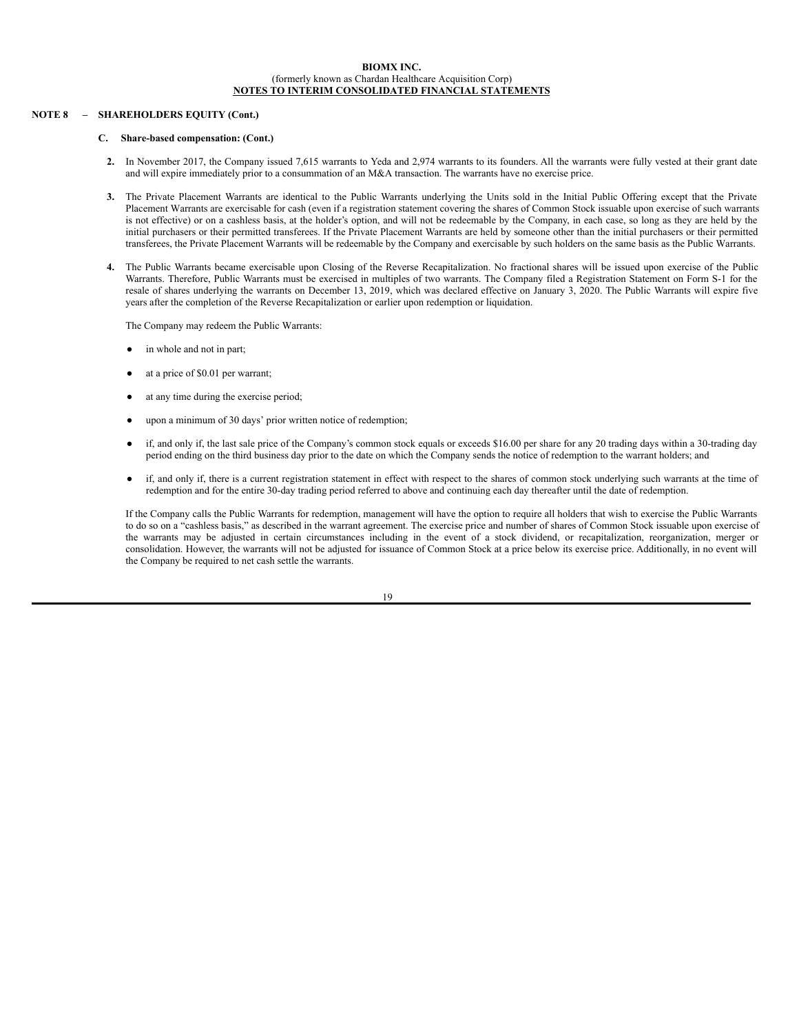# **NOTE 8 – SHAREHOLDERS EQUITY (Cont.)**

## **C. Share-based compensation: (Cont.)**

- **2.** In November 2017, the Company issued 7,615 warrants to Yeda and 2,974 warrants to its founders. All the warrants were fully vested at their grant date and will expire immediately prior to a consummation of an M&A transaction. The warrants have no exercise price.
- **3.** The Private Placement Warrants are identical to the Public Warrants underlying the Units sold in the Initial Public Offering except that the Private Placement Warrants are exercisable for cash (even if a registration statement covering the shares of Common Stock issuable upon exercise of such warrants is not effective) or on a cashless basis, at the holder's option, and will not be redeemable by the Company, in each case, so long as they are held by the initial purchasers or their permitted transferees. If the Private Placement Warrants are held by someone other than the initial purchasers or their permitted transferees, the Private Placement Warrants will be redeemable by the Company and exercisable by such holders on the same basis as the Public Warrants.
- **4.** The Public Warrants became exercisable upon Closing of the Reverse Recapitalization. No fractional shares will be issued upon exercise of the Public Warrants. Therefore, Public Warrants must be exercised in multiples of two warrants. The Company filed a Registration Statement on Form S-1 for the resale of shares underlying the warrants on December 13, 2019, which was declared effective on January 3, 2020. The Public Warrants will expire five years after the completion of the Reverse Recapitalization or earlier upon redemption or liquidation.

The Company may redeem the Public Warrants:

- in whole and not in part;
- at a price of \$0.01 per warrant;
- at any time during the exercise period;
- upon a minimum of 30 days' prior written notice of redemption;
- if, and only if, the last sale price of the Company's common stock equals or exceeds \$16.00 per share for any 20 trading days within a 30-trading day period ending on the third business day prior to the date on which the Company sends the notice of redemption to the warrant holders; and
- if, and only if, there is a current registration statement in effect with respect to the shares of common stock underlying such warrants at the time of redemption and for the entire 30-day trading period referred to above and continuing each day thereafter until the date of redemption.

If the Company calls the Public Warrants for redemption, management will have the option to require all holders that wish to exercise the Public Warrants to do so on a "cashless basis," as described in the warrant agreement. The exercise price and number of shares of Common Stock issuable upon exercise of the warrants may be adjusted in certain circumstances including in the event of a stock dividend, or recapitalization, reorganization, merger or consolidation. However, the warrants will not be adjusted for issuance of Common Stock at a price below its exercise price. Additionally, in no event will the Company be required to net cash settle the warrants.

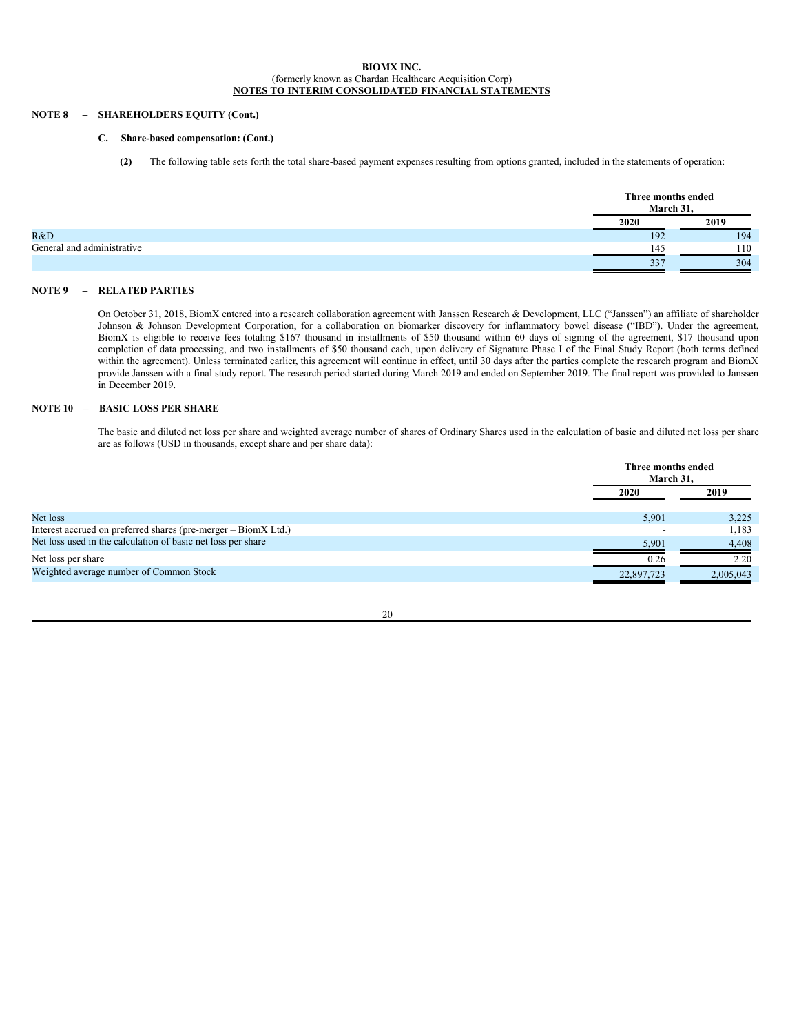# **NOTE 8 – SHAREHOLDERS EQUITY (Cont.)**

## **C. Share-based compensation: (Cont.)**

**(2)** The following table sets forth the total share-based payment expenses resulting from options granted, included in the statements of operation:

|                            |      | Three months ended<br>March 31 |  |
|----------------------------|------|--------------------------------|--|
|                            | 2020 | 2019                           |  |
| R&D                        | 192  | 194                            |  |
| General and administrative | 145  | 110                            |  |
|                            | 337  | 304                            |  |

# **NOTE 9 – RELATED PARTIES**

On October 31, 2018, BiomX entered into a research collaboration agreement with Janssen Research & Development, LLC ("Janssen") an affiliate of shareholder Johnson & Johnson Development Corporation, for a collaboration on biomarker discovery for inflammatory bowel disease ("IBD"). Under the agreement, BiomX is eligible to receive fees totaling \$167 thousand in installments of \$50 thousand within 60 days of signing of the agreement, \$17 thousand upon completion of data processing, and two installments of \$50 thousand each, upon delivery of Signature Phase I of the Final Study Report (both terms defined within the agreement). Unless terminated earlier, this agreement will continue in effect, until 30 days after the parties complete the research program and BiomX provide Janssen with a final study report. The research period started during March 2019 and ended on September 2019. The final report was provided to Janssen in December 2019.

# **NOTE 10 – BASIC LOSS PER SHARE**

The basic and diluted net loss per share and weighted average number of shares of Ordinary Shares used in the calculation of basic and diluted net loss per share are as follows (USD in thousands, except share and per share data):

|                                                                | Three months ended<br>March 31. |           |
|----------------------------------------------------------------|---------------------------------|-----------|
|                                                                | 2020                            | 2019      |
| Net loss                                                       | 5,901                           | 3,225     |
| Interest accrued on preferred shares (pre-merger – BiomX Ltd.) |                                 | 1,183     |
| Net loss used in the calculation of basic net loss per share   | 5,901                           | 4.408     |
| Net loss per share                                             | 0.26                            | 2.20      |
| Weighted average number of Common Stock                        | 22,897,723                      | 2,005,043 |

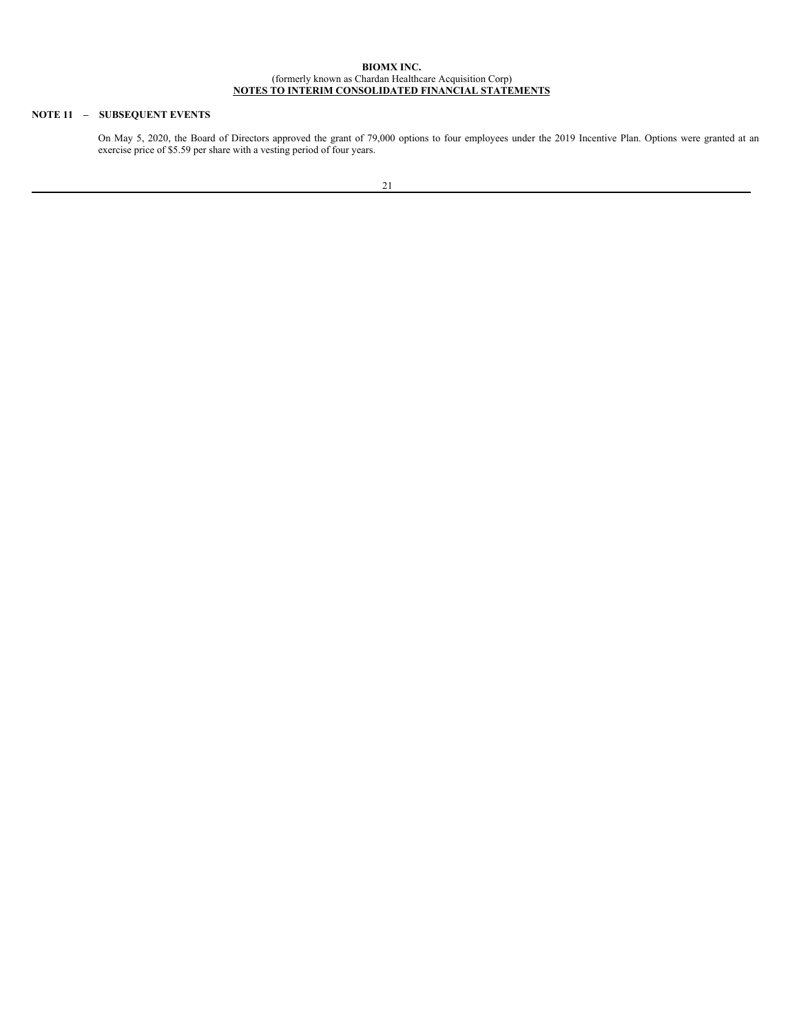# **NOTE 11 – SUBSEQUENT EVENTS**

On May 5, 2020, the Board of Directors approved the grant of 79,000 options to four employees under the 2019 Incentive Plan. Options were granted at an exercise price of \$5.59 per share with a vesting period of four years.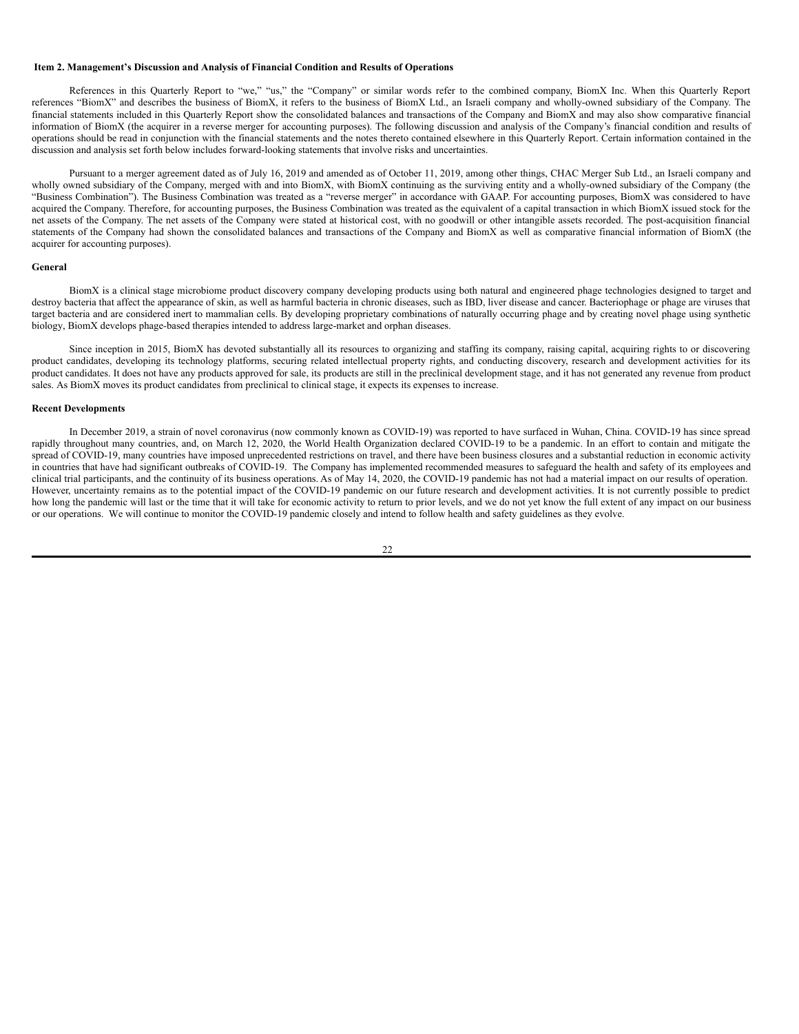#### <span id="page-24-0"></span>**Item 2. Management's Discussion and Analysis of Financial Condition and Results of Operations**

References in this Quarterly Report to "we," "us," the "Company" or similar words refer to the combined company, BiomX Inc. When this Quarterly Report references "BiomX" and describes the business of BiomX, it refers to the business of BiomX Ltd., an Israeli company and wholly-owned subsidiary of the Company. The financial statements included in this Quarterly Report show the consolidated balances and transactions of the Company and BiomX and may also show comparative financial information of BiomX (the acquirer in a reverse merger for accounting purposes). The following discussion and analysis of the Company's financial condition and results of operations should be read in conjunction with the financial statements and the notes thereto contained elsewhere in this Quarterly Report. Certain information contained in the discussion and analysis set forth below includes forward-looking statements that involve risks and uncertainties.

Pursuant to a merger agreement dated as of July 16, 2019 and amended as of October 11, 2019, among other things, CHAC Merger Sub Ltd., an Israeli company and wholly owned subsidiary of the Company, merged with and into BiomX, with BiomX continuing as the surviving entity and a wholly-owned subsidiary of the Company (the "Business Combination"). The Business Combination was treated as a "reverse merger" in accordance with GAAP. For accounting purposes, BiomX was considered to have acquired the Company. Therefore, for accounting purposes, the Business Combination was treated as the equivalent of a capital transaction in which BiomX issued stock for the net assets of the Company. The net assets of the Company were stated at historical cost, with no goodwill or other intangible assets recorded. The post-acquisition financial statements of the Company had shown the consolidated balances and transactions of the Company and BiomX as well as comparative financial information of BiomX (the acquirer for accounting purposes).

#### **General**

BiomX is a clinical stage microbiome product discovery company developing products using both natural and engineered phage technologies designed to target and destroy bacteria that affect the appearance of skin, as well as harmful bacteria in chronic diseases, such as IBD, liver disease and cancer. Bacteriophage or phage are viruses that target bacteria and are considered inert to mammalian cells. By developing proprietary combinations of naturally occurring phage and by creating novel phage using synthetic biology, BiomX develops phage-based therapies intended to address large-market and orphan diseases.

Since inception in 2015, BiomX has devoted substantially all its resources to organizing and staffing its company, raising capital, acquiring rights to or discovering product candidates, developing its technology platforms, securing related intellectual property rights, and conducting discovery, research and development activities for its product candidates. It does not have any products approved for sale, its products are still in the preclinical development stage, and it has not generated any revenue from product sales. As BiomX moves its product candidates from preclinical to clinical stage, it expects its expenses to increase.

## **Recent Developments**

In December 2019, a strain of novel coronavirus (now commonly known as COVID-19) was reported to have surfaced in Wuhan, China. COVID-19 has since spread rapidly throughout many countries, and, on March 12, 2020, the World Health Organization declared COVID-19 to be a pandemic. In an effort to contain and mitigate the spread of COVID-19, many countries have imposed unprecedented restrictions on travel, and there have been business closures and a substantial reduction in economic activity in countries that have had significant outbreaks of COVID-19. The Company has implemented recommended measures to safeguard the health and safety of its employees and clinical trial participants, and the continuity of its business operations. As of May 14, 2020, the COVID-19 pandemic has not had a material impact on our results of operation. However, uncertainty remains as to the potential impact of the COVID-19 pandemic on our future research and development activities. It is not currently possible to predict how long the pandemic will last or the time that it will take for economic activity to return to prior levels, and we do not yet know the full extent of any impact on our business or our operations. We will continue to monitor the COVID-19 pandemic closely and intend to follow health and safety guidelines as they evolve.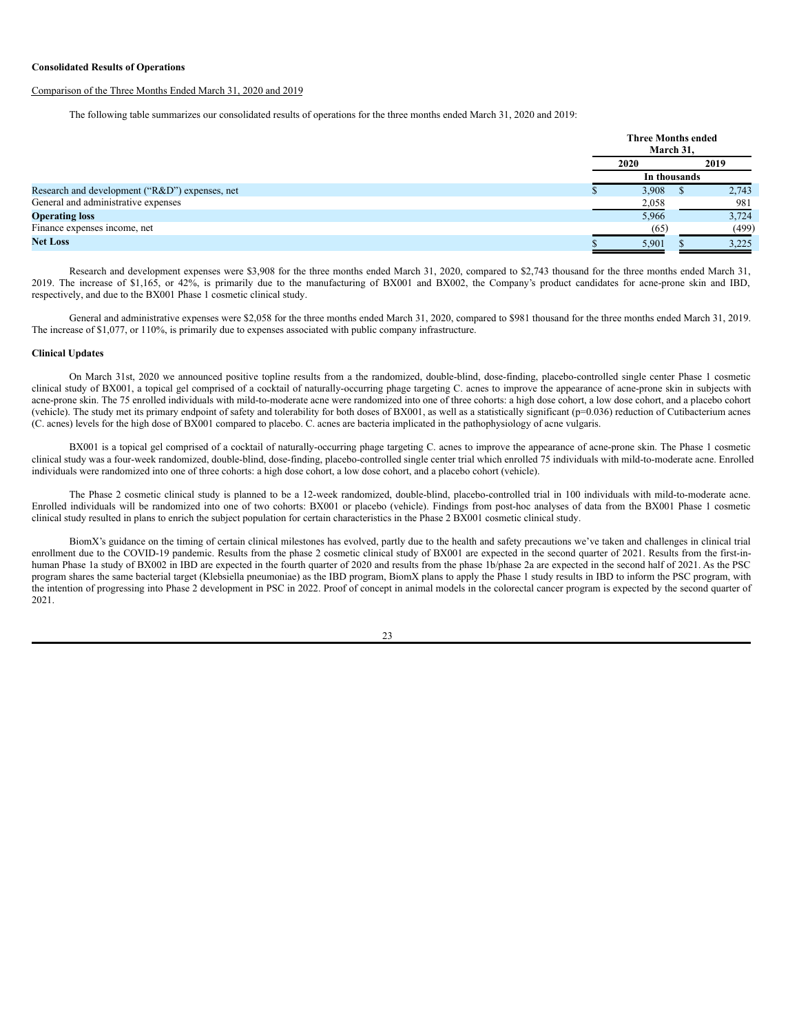#### **Consolidated Results of Operations**

## Comparison of the Three Months Ended March 31, 2020 and 2019

The following table summarizes our consolidated results of operations for the three months ended March 31, 2020 and 2019:

|                                                |  | <b>Three Months ended</b><br>March 31, |  |       |  |
|------------------------------------------------|--|----------------------------------------|--|-------|--|
|                                                |  | <b>2020</b><br>2019<br>In thousands    |  |       |  |
|                                                |  |                                        |  |       |  |
| Research and development ("R&D") expenses, net |  | 3,908                                  |  | 2,743 |  |
| General and administrative expenses            |  | 2,058                                  |  | 981   |  |
| <b>Operating loss</b>                          |  | 5,966                                  |  | 3,724 |  |
| Finance expenses income, net                   |  | (65)                                   |  | (499) |  |
| <b>Net Loss</b>                                |  | 5,901                                  |  | 3,225 |  |

Research and development expenses were \$3,908 for the three months ended March 31, 2020, compared to \$2,743 thousand for the three months ended March 31, 2019. The increase of \$1,165, or 42%, is primarily due to the manufacturing of BX001 and BX002, the Company's product candidates for acne-prone skin and IBD, respectively, and due to the BX001 Phase 1 cosmetic clinical study.

General and administrative expenses were \$2,058 for the three months ended March 31, 2020, compared to \$981 thousand for the three months ended March 31, 2019. The increase of \$1,077, or 110%, is primarily due to expenses associated with public company infrastructure.

## **Clinical Updates**

On March 31st, 2020 we announced positive topline results from a the randomized, double-blind, dose-finding, placebo-controlled single center Phase 1 cosmetic clinical study of BX001, a topical gel comprised of a cocktail of naturally-occurring phage targeting C. acnes to improve the appearance of acne-prone skin in subjects with acne-prone skin. The 75 enrolled individuals with mild-to-moderate acne were randomized into one of three cohorts: a high dose cohort, a low dose cohort, and a placebo cohort (vehicle). The study met its primary endpoint of safety and tolerability for both doses of BX001, as well as a statistically significant (p=0.036) reduction of Cutibacterium acnes (C. acnes) levels for the high dose of BX001 compared to placebo. C. acnes are bacteria implicated in the pathophysiology of acne vulgaris.

BX001 is a topical gel comprised of a cocktail of naturally-occurring phage targeting C. acnes to improve the appearance of acne-prone skin. The Phase 1 cosmetic clinical study was a four-week randomized, double-blind, dose-finding, placebo-controlled single center trial which enrolled 75 individuals with mild-to-moderate acne. Enrolled individuals were randomized into one of three cohorts: a high dose cohort, a low dose cohort, and a placebo cohort (vehicle).

The Phase 2 cosmetic clinical study is planned to be a 12-week randomized, double-blind, placebo-controlled trial in 100 individuals with mild-to-moderate acne. Enrolled individuals will be randomized into one of two cohorts: BX001 or placebo (vehicle). Findings from post-hoc analyses of data from the BX001 Phase 1 cosmetic clinical study resulted in plans to enrich the subject population for certain characteristics in the Phase 2 BX001 cosmetic clinical study.

BiomX's guidance on the timing of certain clinical milestones has evolved, partly due to the health and safety precautions we've taken and challenges in clinical trial enrollment due to the COVID-19 pandemic. Results from the phase 2 cosmetic clinical study of BX001 are expected in the second quarter of 2021. Results from the first-inhuman Phase 1a study of BX002 in IBD are expected in the fourth quarter of 2020 and results from the phase 1b/phase 2a are expected in the second half of 2021. As the PSC program shares the same bacterial target (Klebsiella pneumoniae) as the IBD program, BiomX plans to apply the Phase 1 study results in IBD to inform the PSC program, with the intention of progressing into Phase 2 development in PSC in 2022. Proof of concept in animal models in the colorectal cancer program is expected by the second quarter of 2021.

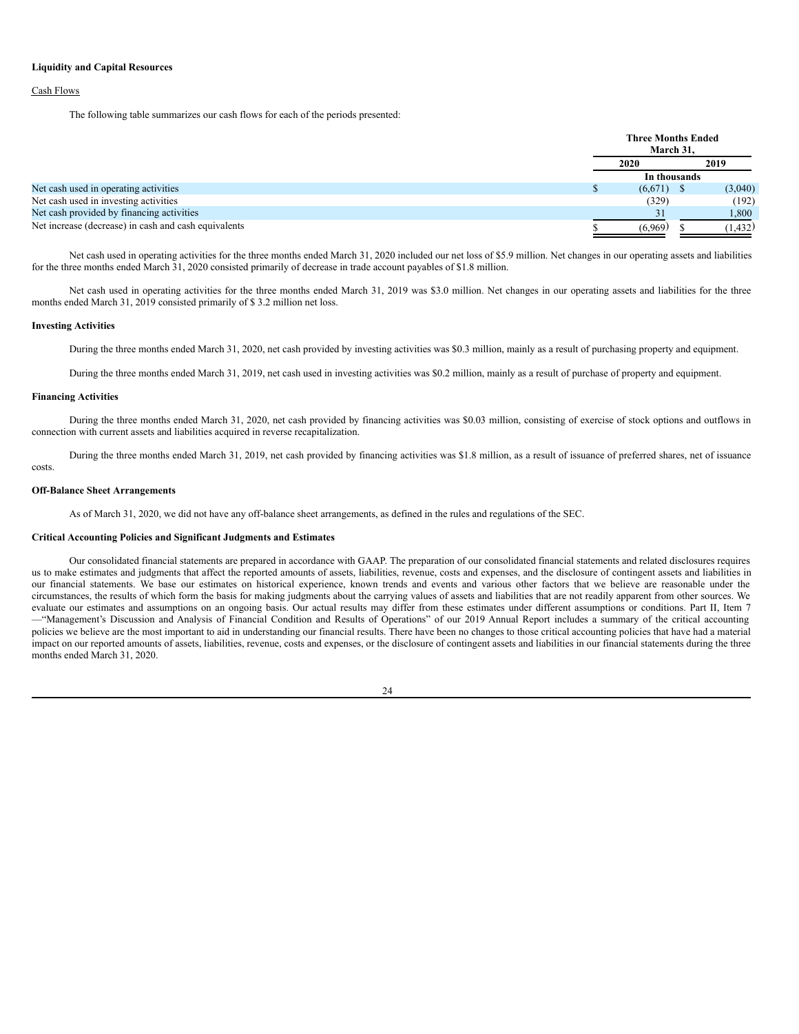### **Liquidity and Capital Resources**

### Cash Flows

The following table summarizes our cash flows for each of the periods presented:

|                                                      | <b>Three Months Ended</b><br>March 31, |          |
|------------------------------------------------------|----------------------------------------|----------|
|                                                      | 2020                                   | 2019     |
|                                                      | In thousands                           |          |
| Net cash used in operating activities                | $(6,671)$ \$                           | (3,040)  |
| Net cash used in investing activities                | (329)                                  | (192)    |
| Net cash provided by financing activities            |                                        | 1,800    |
| Net increase (decrease) in cash and cash equivalents | (6.969)                                | (1, 432) |

Net cash used in operating activities for the three months ended March 31, 2020 included our net loss of \$5.9 million. Net changes in our operating assets and liabilities for the three months ended March 31, 2020 consisted primarily of decrease in trade account payables of \$1.8 million.

Net cash used in operating activities for the three months ended March 31, 2019 was \$3.0 million. Net changes in our operating assets and liabilities for the three months ended March 31, 2019 consisted primarily of \$ 3.2 million net loss.

#### **Investing Activities**

During the three months ended March 31, 2020, net cash provided by investing activities was \$0.3 million, mainly as a result of purchasing property and equipment.

During the three months ended March 31, 2019, net cash used in investing activities was \$0.2 million, mainly as a result of purchase of property and equipment.

# **Financing Activities**

During the three months ended March 31, 2020, net cash provided by financing activities was \$0.03 million, consisting of exercise of stock options and outflows in connection with current assets and liabilities acquired in reverse recapitalization.

During the three months ended March 31, 2019, net cash provided by financing activities was \$1.8 million, as a result of issuance of preferred shares, net of issuance

## costs.

#### **Off-Balance Sheet Arrangements**

As of March 31, 2020, we did not have any off-balance sheet arrangements, as defined in the rules and regulations of the SEC.

## **Critical Accounting Policies and Significant Judgments and Estimates**

Our consolidated financial statements are prepared in accordance with GAAP. The preparation of our consolidated financial statements and related disclosures requires us to make estimates and judgments that affect the reported amounts of assets, liabilities, revenue, costs and expenses, and the disclosure of contingent assets and liabilities in our financial statements. We base our estimates on historical experience, known trends and events and various other factors that we believe are reasonable under the circumstances, the results of which form the basis for making judgments about the carrying values of assets and liabilities that are not readily apparent from other sources. We evaluate our estimates and assumptions on an ongoing basis. Our actual results may differ from these estimates under different assumptions or conditions. Part II, Item 7 —"Management's Discussion and Analysis of Financial Condition and Results of Operations" of our 2019 Annual Report includes a summary of the critical accounting policies we believe are the most important to aid in understanding our financial results. There have been no changes to those critical accounting policies that have had a material impact on our reported amounts of assets, liabilities, revenue, costs and expenses, or the disclosure of contingent assets and liabilities in our financial statements during the three months ended March 31, 2020.

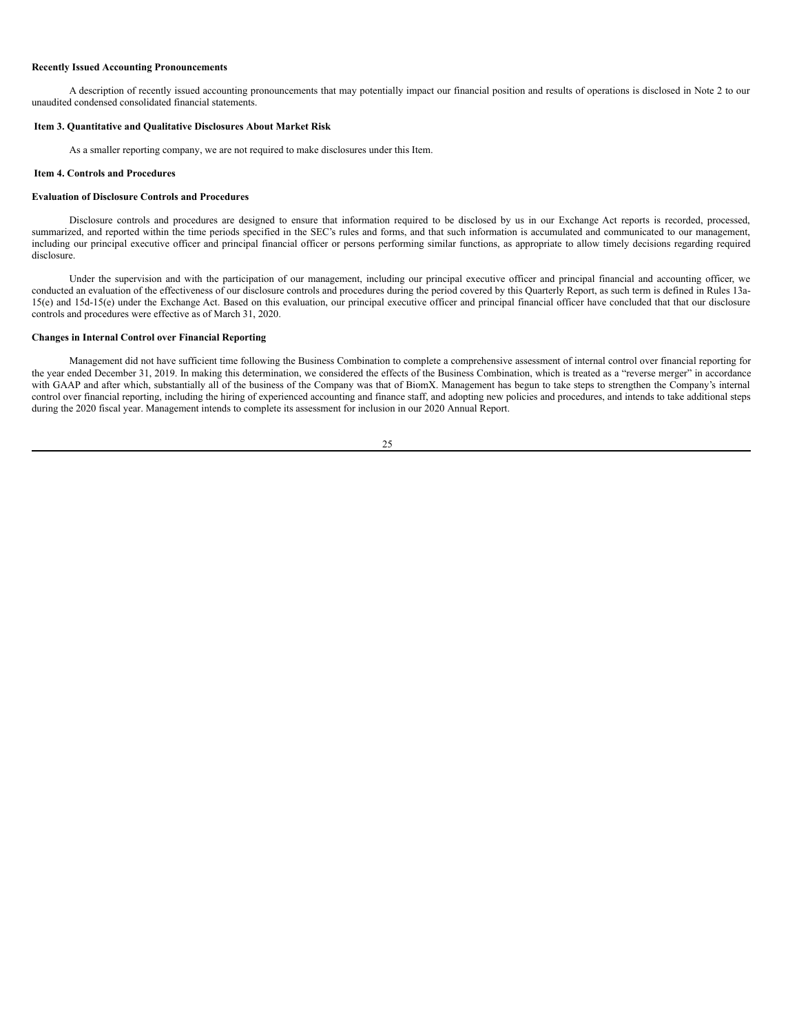#### **Recently Issued Accounting Pronouncements**

A description of recently issued accounting pronouncements that may potentially impact our financial position and results of operations is disclosed in Note 2 to our unaudited condensed consolidated financial statements.

#### <span id="page-27-0"></span>**Item 3. Quantitative and Qualitative Disclosures About Market Risk**

As a smaller reporting company, we are not required to make disclosures under this Item.

## <span id="page-27-1"></span>**Item 4. Controls and Procedures**

### **Evaluation of Disclosure Controls and Procedures**

Disclosure controls and procedures are designed to ensure that information required to be disclosed by us in our Exchange Act reports is recorded, processed, summarized, and reported within the time periods specified in the SEC's rules and forms, and that such information is accumulated and communicated to our management, including our principal executive officer and principal financial officer or persons performing similar functions, as appropriate to allow timely decisions regarding required disclosure.

Under the supervision and with the participation of our management, including our principal executive officer and principal financial and accounting officer, we conducted an evaluation of the effectiveness of our disclosure controls and procedures during the period covered by this Quarterly Report, as such term is defined in Rules 13a-15(e) and 15d-15(e) under the Exchange Act. Based on this evaluation, our principal executive officer and principal financial officer have concluded that that our disclosure controls and procedures were effective as of March 31, 2020.

## **Changes in Internal Control over Financial Reporting**

Management did not have sufficient time following the Business Combination to complete a comprehensive assessment of internal control over financial reporting for the year ended December 31, 2019. In making this determination, we considered the effects of the Business Combination, which is treated as a "reverse merger" in accordance with GAAP and after which, substantially all of the business of the Company was that of BiomX. Management has begun to take steps to strengthen the Company's internal control over financial reporting, including the hiring of experienced accounting and finance staff, and adopting new policies and procedures, and intends to take additional steps during the 2020 fiscal year. Management intends to complete its assessment for inclusion in our 2020 Annual Report.

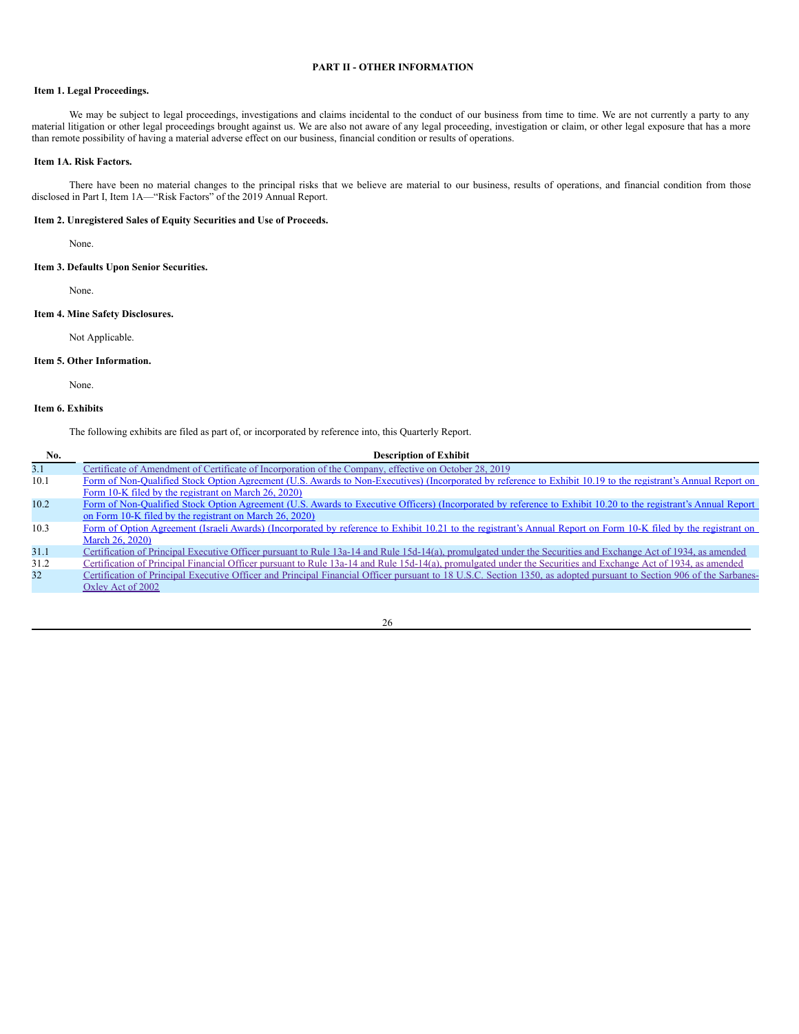# <span id="page-28-0"></span>**PART II - OTHER INFORMATION**

# <span id="page-28-1"></span>**Item 1. Legal Proceedings.**

We may be subject to legal proceedings, investigations and claims incidental to the conduct of our business from time to time. We are not currently a party to any material litigation or other legal proceedings brought against us. We are also not aware of any legal proceeding, investigation or claim, or other legal exposure that has a more than remote possibility of having a material adverse effect on our business, financial condition or results of operations.

## <span id="page-28-2"></span>**Item 1A. Risk Factors.**

There have been no material changes to the principal risks that we believe are material to our business, results of operations, and financial condition from those disclosed in Part I, Item 1A—"Risk Factors" of the 2019 Annual Report.

## <span id="page-28-3"></span>**Item 2. Unregistered Sales of Equity Securities and Use of Proceeds.**

None.

# <span id="page-28-4"></span>**Item 3. Defaults Upon Senior Securities.**

None.

## <span id="page-28-5"></span>**Item 4. Mine Safety Disclosures.**

Not Applicable.

# <span id="page-28-6"></span>**Item 5. Other Information.**

None.

# <span id="page-28-7"></span>**Item 6. Exhibits**

The following exhibits are filed as part of, or incorporated by reference into, this Quarterly Report.

| No.  | <b>Description of Exhibit</b>                                                                                                                                        |
|------|----------------------------------------------------------------------------------------------------------------------------------------------------------------------|
| 3.1  | Certificate of Amendment of Certificate of Incorporation of the Company, effective on October 28, 2019                                                               |
| 10.1 | Form of Non-Qualified Stock Option Agreement (U.S. Awards to Non-Executives) (Incorporated by reference to Exhibit 10.19 to the registrant's Annual Report on        |
|      | Form 10-K filed by the registrant on March 26, 2020)                                                                                                                 |
| 10.2 | Form of Non-Qualified Stock Option Agreement (U.S. Awards to Executive Officers) (Incorporated by reference to Exhibit 10.20 to the registrant's Annual Report       |
|      | on Form 10-K filed by the registrant on March 26, 2020)                                                                                                              |
| 10.3 | Form of Option Agreement (Israeli Awards) (Incorporated by reference to Exhibit 10.21 to the registrant's Annual Report on Form 10-K filed by the registrant on      |
|      | March 26, 2020)                                                                                                                                                      |
| 31.1 | Certification of Principal Executive Officer pursuant to Rule 13a-14 and Rule 15d-14(a), promulgated under the Securities and Exchange Act of 1934, as amended       |
| 31.2 | Certification of Principal Financial Officer pursuant to Rule 13a-14 and Rule 15d-14(a), promulgated under the Securities and Exchange Act of 1934, as amended       |
| 32   | Certification of Principal Executive Officer and Principal Financial Officer pursuant to 18 U.S.C. Section 1350, as adopted pursuant to Section 906 of the Sarbanes- |
|      | Oxley Act of 2002                                                                                                                                                    |
|      |                                                                                                                                                                      |

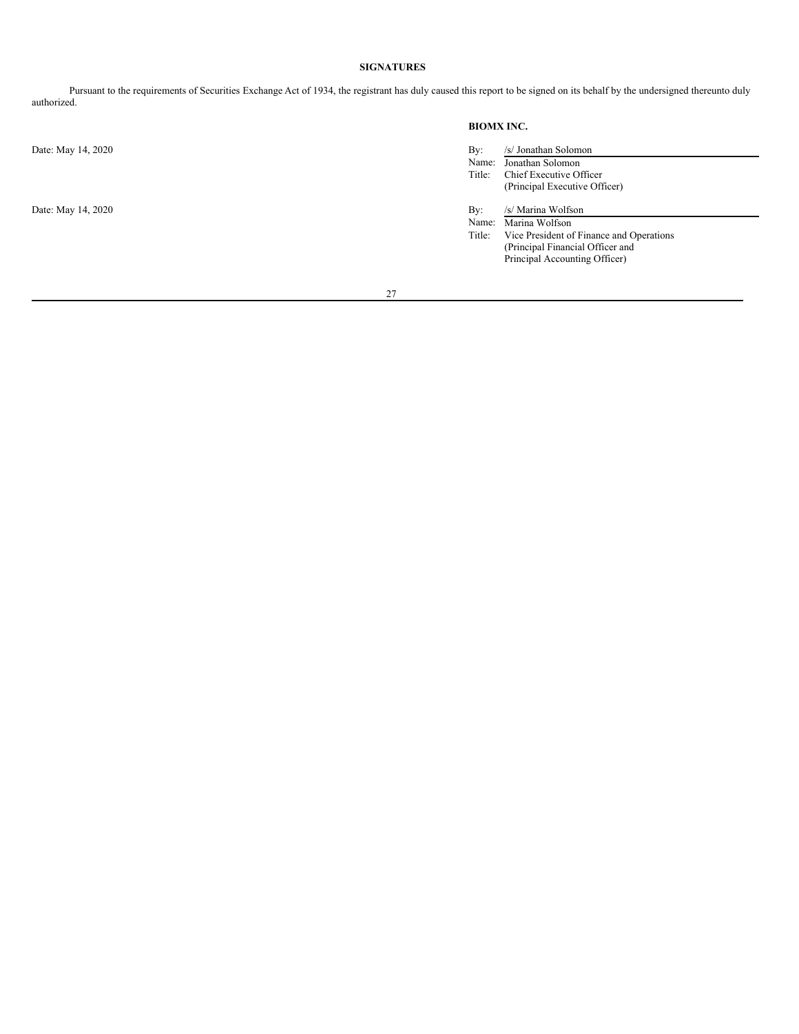# <span id="page-29-0"></span>**SIGNATURES**

Pursuant to the requirements of Securities Exchange Act of 1934, the registrant has duly caused this report to be signed on its behalf by the undersigned thereunto duly authorized.

Date: May 14, 2020

Date: May 14, 2020

# **BIOMX INC.**

| By:    | /s/ Jonathan Solomon                     |
|--------|------------------------------------------|
| Name:  | Jonathan Solomon                         |
| Title: | Chief Executive Officer                  |
|        | (Principal Executive Officer)            |
| By:    | /s/ Marina Wolfson                       |
|        | Name: Marina Wolfson                     |
| Title: | Vice President of Finance and Operations |
|        | (Principal Financial Officer and         |
|        | Principal Accounting Officer)            |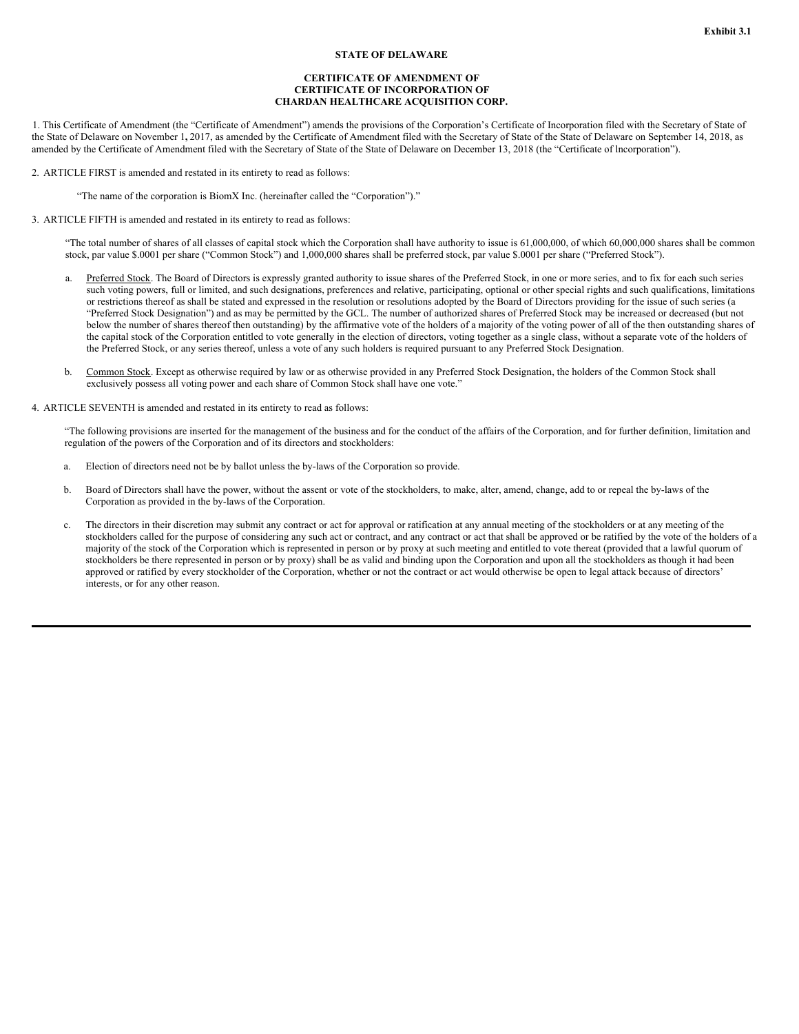## **STATE OF DELAWARE**

## **CERTIFICATE OF AMENDMENT OF CERTIFICATE OF INCORPORATION OF CHARDAN HEALTHCARE ACQUISITION CORP.**

1. This Certificate of Amendment (the "Certificate of Amendment") amends the provisions of the Corporation's Certificate of Incorporation filed with the Secretary of State of the State of Delaware on November 1**,** 2017, as amended by the Certificate of Amendment filed with the Secretary of State of the State of Delaware on September 14, 2018, as amended by the Certificate of Amendment filed with the Secretary of State of the State of Delaware on December 13, 2018 (the "Certificate of lncorporation").

2. ARTICLE FIRST is amended and restated in its entirety to read as follows:

"The name of the corporation is BiomX Inc. (hereinafter called the "Corporation")."

3. ARTICLE FIFTH is amended and restated in its entirety to read as follows:

"The total number of shares of all classes of capital stock which the Corporation shall have authority to issue is 61,000,000, of which 60,000,000 shares shall be common stock, par value \$.0001 per share ("Common Stock") and 1,000,000 shares shall be preferred stock, par value \$.0001 per share ("Preferred Stock").

- a. Preferred Stock. The Board of Directors is expressly granted authority to issue shares of the Preferred Stock, in one or more series, and to fix for each such series such voting powers, full or limited, and such designations, preferences and relative, participating, optional or other special rights and such qualifications, limitations or restrictions thereof as shall be stated and expressed in the resolution or resolutions adopted by the Board of Directors providing for the issue of such series (a "Preferred Stock Designation") and as may be permitted by the GCL. The number of authorized shares of Preferred Stock may be increased or decreased (but not below the number of shares thereof then outstanding) by the affirmative vote of the holders of a majority of the voting power of all of the then outstanding shares of the capital stock of the Corporation entitled to vote generally in the election of directors, voting together as a single class, without a separate vote of the holders of the Preferred Stock, or any series thereof, unless a vote of any such holders is required pursuant to any Preferred Stock Designation.
- b. Common Stock. Except as otherwise required by law or as otherwise provided in any Preferred Stock Designation, the holders of the Common Stock shall exclusively possess all voting power and each share of Common Stock shall have one vote."
- 4. ARTICLE SEVENTH is amended and restated in its entirety to read as follows:

"The following provisions are inserted for the management of the business and for the conduct of the affairs of the Corporation, and for further definition, limitation and regulation of the powers of the Corporation and of its directors and stockholders:

- a. Election of directors need not be by ballot unless the by-laws of the Corporation so provide.
- b. Board of Directors shall have the power, without the assent or vote of the stockholders, to make, alter, amend, change, add to or repeal the by-laws of the Corporation as provided in the by-laws of the Corporation.
- c. The directors in their discretion may submit any contract or act for approval or ratification at any annual meeting of the stockholders or at any meeting of the stockholders called for the purpose of considering any such act or contract, and any contract or act that shall be approved or be ratified by the vote of the holders of a majority of the stock of the Corporation which is represented in person or by proxy at such meeting and entitled to vote thereat (provided that a lawful quorum of stockholders be there represented in person or by proxy) shall be as valid and binding upon the Corporation and upon all the stockholders as though it had been approved or ratified by every stockholder of the Corporation, whether or not the contract or act would otherwise be open to legal attack because of directors' interests, or for any other reason.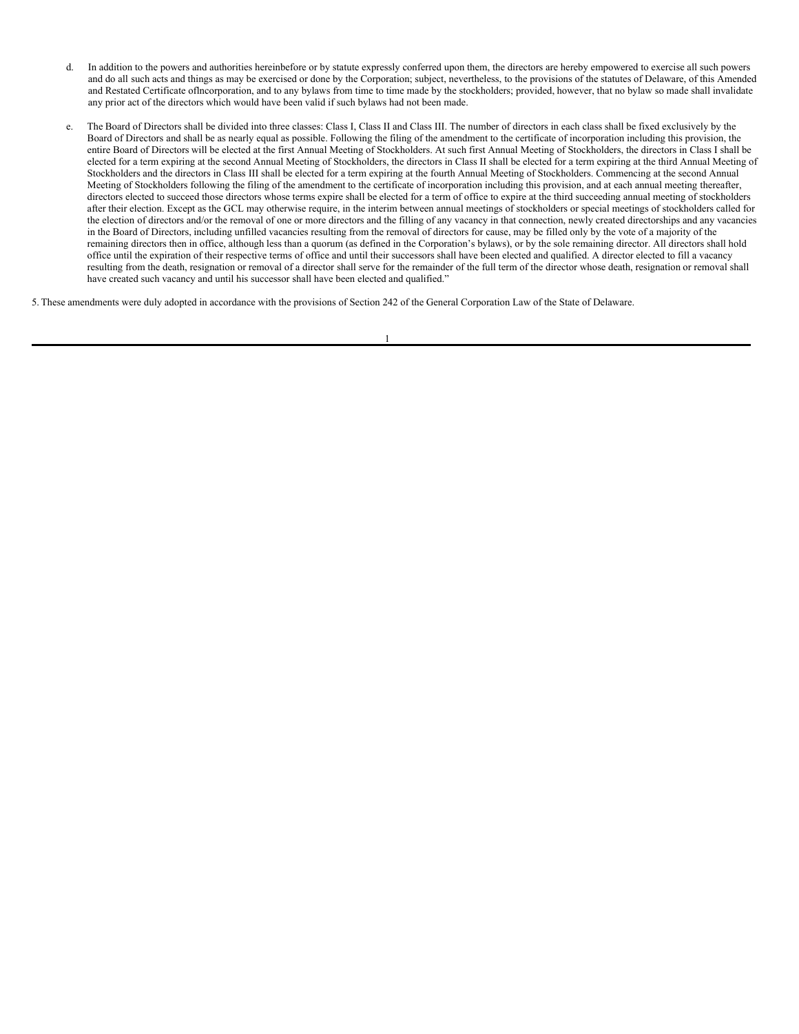- <span id="page-31-0"></span>d. In addition to the powers and authorities hereinbefore or by statute expressly conferred upon them, the directors are hereby empowered to exercise all such powers and do all such acts and things as may be exercised or done by the Corporation; subject, nevertheless, to the provisions of the statutes of Delaware, of this Amended and Restated Certificate oflncorporation, and to any bylaws from time to time made by the stockholders; provided, however, that no bylaw so made shall invalidate any prior act of the directors which would have been valid if such bylaws had not been made.
- e. The Board of Directors shall be divided into three classes: Class I, Class II and Class III. The number of directors in each class shall be fixed exclusively by the Board of Directors and shall be as nearly equal as possible. Following the filing of the amendment to the certificate of incorporation including this provision, the entire Board of Directors will be elected at the first Annual Meeting of Stockholders. At such first Annual Meeting of Stockholders, the directors in Class I shall be elected for a term expiring at the second Annual Meeting of Stockholders, the directors in Class II shall be elected for a term expiring at the third Annual Meeting of Stockholders and the directors in Class III shall be elected for a term expiring at the fourth Annual Meeting of Stockholders. Commencing at the second Annual Meeting of Stockholders following the filing of the amendment to the certificate of incorporation including this provision, and at each annual meeting thereafter, directors elected to succeed those directors whose terms expire shall be elected for a term of office to expire at the third succeeding annual meeting of stockholders after their election. Except as the GCL may otherwise require, in the interim between annual meetings of stockholders or special meetings of stockholders called for the election of directors and/or the removal of one or more directors and the filling of any vacancy in that connection, newly created directorships and any vacancies in the Board of Directors, including unfilled vacancies resulting from the removal of directors for cause, may be filled only by the vote of a majority of the remaining directors then in office, although less than a quorum (as defined in the Corporation's bylaws), or by the sole remaining director. All directors shall hold office until the expiration of their respective terms of office and until their successors shall have been elected and qualified. A director elected to fill a vacancy resulting from the death, resignation or removal of a director shall serve for the remainder of the full term of the director whose death, resignation or removal shall have created such vacancy and until his successor shall have been elected and qualified."

5. These amendments were duly adopted in accordance with the provisions of Section 242 of the General Corporation Law of the State of Delaware.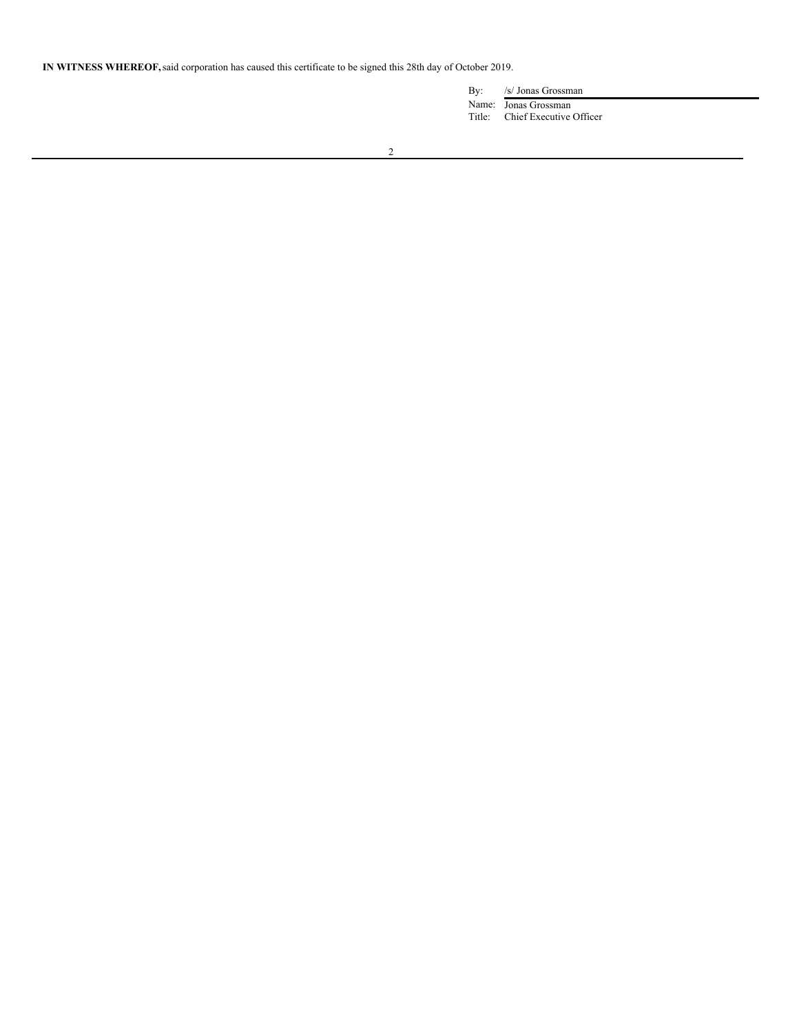**IN WITNESS WHEREOF,**said corporation has caused this certificate to be signed this 28th day of October 2019.

| By:<br>/s/ Jonas Grossman |  |
|---------------------------|--|
|---------------------------|--|

Name: Jonas Grossman Title: Chief Executive Officer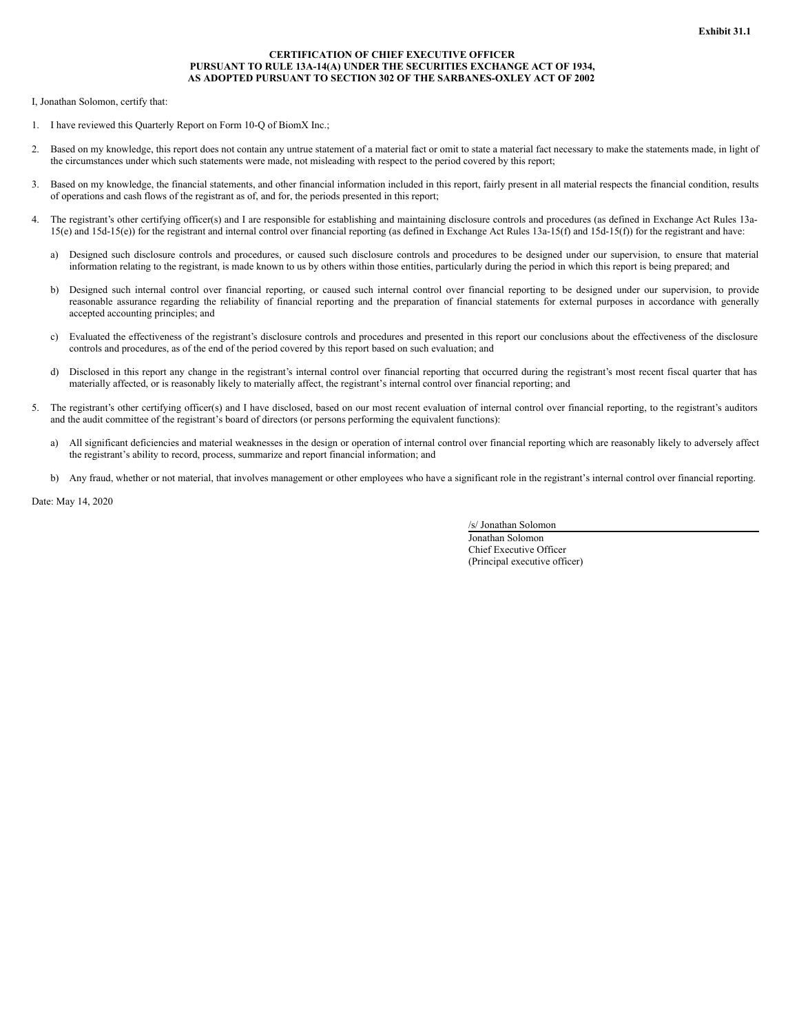## **CERTIFICATION OF CHIEF EXECUTIVE OFFICER PURSUANT TO RULE 13A-14(A) UNDER THE SECURITIES EXCHANGE ACT OF 1934, AS ADOPTED PURSUANT TO SECTION 302 OF THE SARBANES-OXLEY ACT OF 2002**

<span id="page-33-0"></span>I, Jonathan Solomon, certify that:

- 1. I have reviewed this Quarterly Report on Form 10-Q of BiomX Inc.;
- 2. Based on my knowledge, this report does not contain any untrue statement of a material fact or omit to state a material fact necessary to make the statements made, in light of the circumstances under which such statements were made, not misleading with respect to the period covered by this report;
- 3. Based on my knowledge, the financial statements, and other financial information included in this report, fairly present in all material respects the financial condition, results of operations and cash flows of the registrant as of, and for, the periods presented in this report;
- The registrant's other certifying officer(s) and I are responsible for establishing and maintaining disclosure controls and procedures (as defined in Exchange Act Rules 13a-15(e) and 15d-15(e)) for the registrant and internal control over financial reporting (as defined in Exchange Act Rules 13a-15(f) and 15d-15(f)) for the registrant and have:
	- a) Designed such disclosure controls and procedures, or caused such disclosure controls and procedures to be designed under our supervision, to ensure that material information relating to the registrant, is made known to us by others within those entities, particularly during the period in which this report is being prepared; and
	- b) Designed such internal control over financial reporting, or caused such internal control over financial reporting to be designed under our supervision, to provide reasonable assurance regarding the reliability of financial reporting and the preparation of financial statements for external purposes in accordance with generally accepted accounting principles; and
	- c) Evaluated the effectiveness of the registrant's disclosure controls and procedures and presented in this report our conclusions about the effectiveness of the disclosure controls and procedures, as of the end of the period covered by this report based on such evaluation; and
	- d) Disclosed in this report any change in the registrant's internal control over financial reporting that occurred during the registrant's most recent fiscal quarter that has materially affected, or is reasonably likely to materially affect, the registrant's internal control over financial reporting; and
- 5. The registrant's other certifying officer(s) and I have disclosed, based on our most recent evaluation of internal control over financial reporting, to the registrant's auditors and the audit committee of the registrant's board of directors (or persons performing the equivalent functions):
	- a) All significant deficiencies and material weaknesses in the design or operation of internal control over financial reporting which are reasonably likely to adversely affect the registrant's ability to record, process, summarize and report financial information; and
	- Any fraud, whether or not material, that involves management or other employees who have a significant role in the registrant's internal control over financial reporting.

Date: May 14, 2020

/s/ Jonathan Solomon

Jonathan Solomon Chief Executive Officer (Principal executive officer)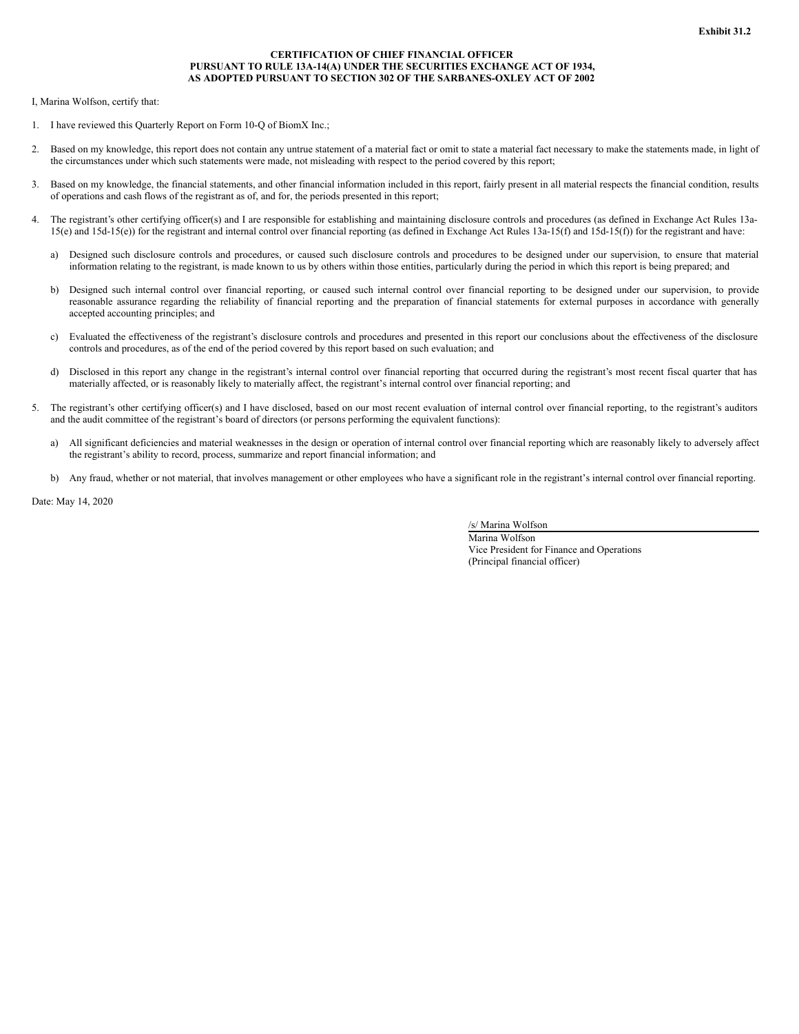## **CERTIFICATION OF CHIEF FINANCIAL OFFICER PURSUANT TO RULE 13A-14(A) UNDER THE SECURITIES EXCHANGE ACT OF 1934, AS ADOPTED PURSUANT TO SECTION 302 OF THE SARBANES-OXLEY ACT OF 2002**

<span id="page-34-0"></span>I, Marina Wolfson, certify that:

- 1. I have reviewed this Quarterly Report on Form 10-Q of BiomX Inc.;
- 2. Based on my knowledge, this report does not contain any untrue statement of a material fact or omit to state a material fact necessary to make the statements made, in light of the circumstances under which such statements were made, not misleading with respect to the period covered by this report;
- 3. Based on my knowledge, the financial statements, and other financial information included in this report, fairly present in all material respects the financial condition, results of operations and cash flows of the registrant as of, and for, the periods presented in this report;
- The registrant's other certifying officer(s) and I are responsible for establishing and maintaining disclosure controls and procedures (as defined in Exchange Act Rules 13a-15(e) and 15d-15(e)) for the registrant and internal control over financial reporting (as defined in Exchange Act Rules 13a-15(f) and 15d-15(f)) for the registrant and have:
	- a) Designed such disclosure controls and procedures, or caused such disclosure controls and procedures to be designed under our supervision, to ensure that material information relating to the registrant, is made known to us by others within those entities, particularly during the period in which this report is being prepared; and
	- b) Designed such internal control over financial reporting, or caused such internal control over financial reporting to be designed under our supervision, to provide reasonable assurance regarding the reliability of financial reporting and the preparation of financial statements for external purposes in accordance with generally accepted accounting principles; and
	- c) Evaluated the effectiveness of the registrant's disclosure controls and procedures and presented in this report our conclusions about the effectiveness of the disclosure controls and procedures, as of the end of the period covered by this report based on such evaluation; and
	- d) Disclosed in this report any change in the registrant's internal control over financial reporting that occurred during the registrant's most recent fiscal quarter that has materially affected, or is reasonably likely to materially affect, the registrant's internal control over financial reporting; and
- 5. The registrant's other certifying officer(s) and I have disclosed, based on our most recent evaluation of internal control over financial reporting, to the registrant's auditors and the audit committee of the registrant's board of directors (or persons performing the equivalent functions):
	- a) All significant deficiencies and material weaknesses in the design or operation of internal control over financial reporting which are reasonably likely to adversely affect the registrant's ability to record, process, summarize and report financial information; and
	- Any fraud, whether or not material, that involves management or other employees who have a significant role in the registrant's internal control over financial reporting.

Date: May 14, 2020

/s/ Marina Wolfson

Marina Wolfson Vice President for Finance and Operations (Principal financial officer)